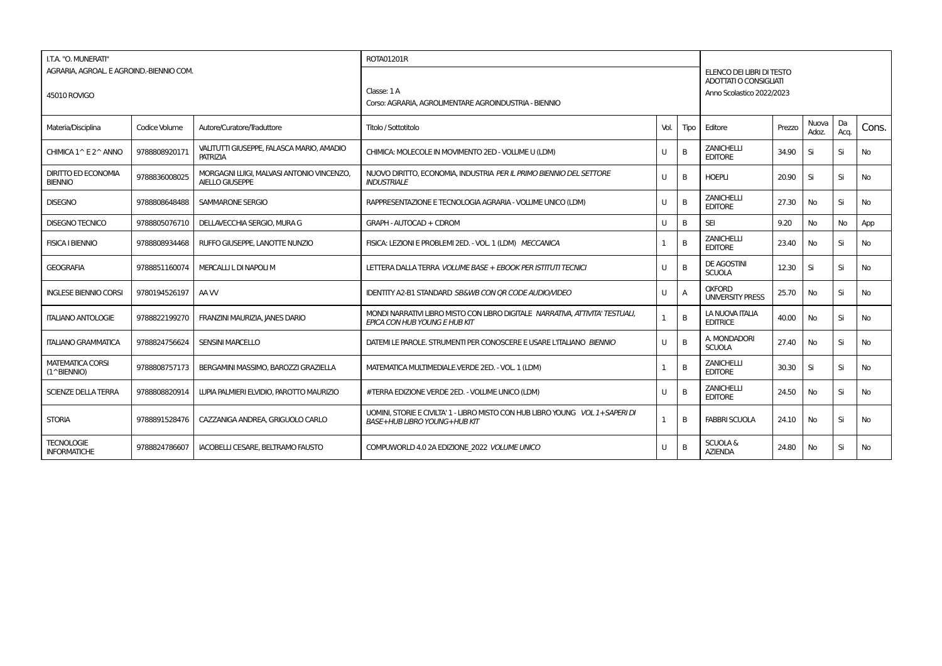| I.T.A. "O. MUNERATI"                         |               |                                                                     | ROTA01201R                                                                                                             |      |                |                                                     |        |                |            |           |  |
|----------------------------------------------|---------------|---------------------------------------------------------------------|------------------------------------------------------------------------------------------------------------------------|------|----------------|-----------------------------------------------------|--------|----------------|------------|-----------|--|
| AGRARIA, AGROAL, E AGROIND,-BIENNIO COM.     |               |                                                                     |                                                                                                                        |      |                | ELENCO DEI LIBRI DI TESTO<br>ADOTTATI O CONSIGLIATI |        |                |            |           |  |
| 45010 ROVIGO                                 |               |                                                                     | Classe: 1A<br>Corso: AGRARIA, AGROLIMENTARE AGROINDUSTRIA - BIENNIO                                                    |      |                | Anno Scolastico 2022/2023                           |        |                |            |           |  |
| Materia/Disciplina                           | Codice Volume | Autore/Curatore/Traduttore                                          | Titolo / Sottotitolo                                                                                                   | Vol. | Tipo           | Editore                                             | Prezzo | Nuova<br>Adoz. | Da<br>Acq. | Cons.     |  |
| CHIMICA 1^ E 2^ ANNO                         | 9788808920171 | VALITUTTI GIUSEPPE, FALASCA MARIO, AMADIO<br>PATRIZIA               | CHIMICA: MOLECOLE IN MOVIMENTO 2ED - VOLUME U (LDM)                                                                    | U    | B              | <b>ZANICHELLI</b><br><b>EDITORE</b>                 | 34.90  | Si             | Si         | No        |  |
| <b>DIRITTO ED ECONOMIA</b><br><b>BIENNIO</b> | 9788836008025 | MORGAGNI LUIGI, MALVASI ANTONIO VINCENZO,<br><b>AIELLO GIUSEPPE</b> | NUOVO DIRITTO, ECONOMIA, INDUSTRIA PER IL PRIMO BIENNIO DEL SETTORE<br><b>INDUSTRIALE</b>                              | U    | B              | <b>HOEPLI</b>                                       | 20.90  | Si             | Si         | No        |  |
| <b>DISEGNO</b>                               | 9788808648488 | <b>SAMMARONE SERGIO</b>                                             | RAPPRESENTAZIONE E TECNOLOGIA AGRARIA - VOLUME UNICO (LDM)                                                             | U    | B              | <b>ZANICHELLI</b><br><b>EDITORE</b>                 | 27.30  | <b>No</b>      | Si         | No        |  |
| <b>DISEGNO TECNICO</b>                       | 9788805076710 | DELLAVECCHIA SERGIO, MURA G                                         | GRAPH - AUTOCAD + CDROM                                                                                                | U    | B              | <b>SEI</b>                                          | 9.20   | No             | No         | App       |  |
| <b>FISICA I BIENNIO</b>                      | 9788808934468 | RUFFO GIUSEPPE, LANOTTE NUNZIO                                      | FISICA: LEZIONI E PROBLEMI 2ED. - VOL. 1 (LDM) MECCANICA                                                               |      | B              | <b>ZANICHELLI</b><br><b>EDITORE</b>                 | 23.40  | No             | Si         | <b>No</b> |  |
| <b>GEOGRAFIA</b>                             | 9788851160074 | MERCALLI L DI NAPOLI M                                              | LETTERA DALLA TERRA VOLUME BASE + EBOOK PER ISTITUTI TECNICI                                                           | U    | B              | <b>DE AGOSTINI</b><br><b>SCUOLA</b>                 | 12.30  | Si             | Si         | No        |  |
| <b>INGLESE BIENNIO CORSI</b>                 | 9780194526197 | AA W                                                                | IDENTITY A2-B1 STANDARD SB&WB CON OR CODE AUDIO/VIDEO                                                                  | U    | $\overline{A}$ | <b>OXFORD</b><br><b>UNIVERSITY PRESS</b>            | 25.70  | <b>No</b>      | Si         | <b>No</b> |  |
| <b>ITALIANO ANTOLOGIE</b>                    | 9788822199270 | FRANZINI MAURIZIA, JANES DARIO                                      | MONDI NARRATIVI LIBRO MISTO CON LIBRO DIGITALE NARRATIVA, ATTIVITA' TESTUALI,<br>EPICA CON HUB YOUNG E HUB KIT         |      | B              | LA NUOVA ITALIA<br><b>EDITRICE</b>                  | 40.00  | No             | Si         | No        |  |
| <b>ITALIANO GRAMMATICA</b>                   | 9788824756624 | <b>SENSINI MARCELLO</b>                                             | DATEMI LE PAROLE. STRUMENTI PER CONOSCERE E USARE L'ITALIANO BIENNIO                                                   | U    | B              | A. MONDADORI<br><b>SCUOLA</b>                       | 27.40  | <b>No</b>      | Si         | <b>No</b> |  |
| <b>MATEMATICA CORSI</b><br>(1^BIENNIO)       | 9788808757173 | BERGAMINI MASSIMO, BAROZZI GRAZIELLA                                | MATEMATICA MULTIMEDIALE.VERDE 2ED. - VOL. 1 (LDM)                                                                      |      | B              | <b>ZANICHELLI</b><br><b>EDITORE</b>                 | 30.30  | Si             | Si         | No        |  |
| <b>SCIENZE DELLA TERRA</b>                   | 9788808820914 | LUPIA PALMIERI ELVIDIO. PAROTTO MAURIZIO                            | #TERRA EDIZIONE VERDE 2ED. - VOLUME UNICO (LDM)                                                                        | U    | B              | <b>ZANICHELLI</b><br><b>EDITORE</b>                 | 24.50  | No             | Si         | No        |  |
| <b>STORIA</b>                                | 9788891528476 | CAZZANIGA ANDREA, GRIGUOLO CARLO                                    | UOMINI, STORIE E CIVILTA' 1 - LIBRO MISTO CON HUB LIBRO YOUNG VOL 1 + SAPERI DI<br><b>BASE+HUB LIBRO YOUNG+HUB KIT</b> |      | B              | <b>FABBRI SCUOLA</b>                                | 24.10  | <b>No</b>      | Si         | <b>No</b> |  |
| <b>TECNOLOGIE</b><br><b>INFORMATICHE</b>     | 9788824786607 | <b>IACOBELLI CESARE, BELTRAMO FAUSTO</b>                            | COMPUWORLD 4.0 2A EDIZIONE 2022 VOLUME UNICO                                                                           | U    | B              | <b>SCUOLA &amp;</b><br><b>AZIENDA</b>               | 24.80  | No             | Si         | No        |  |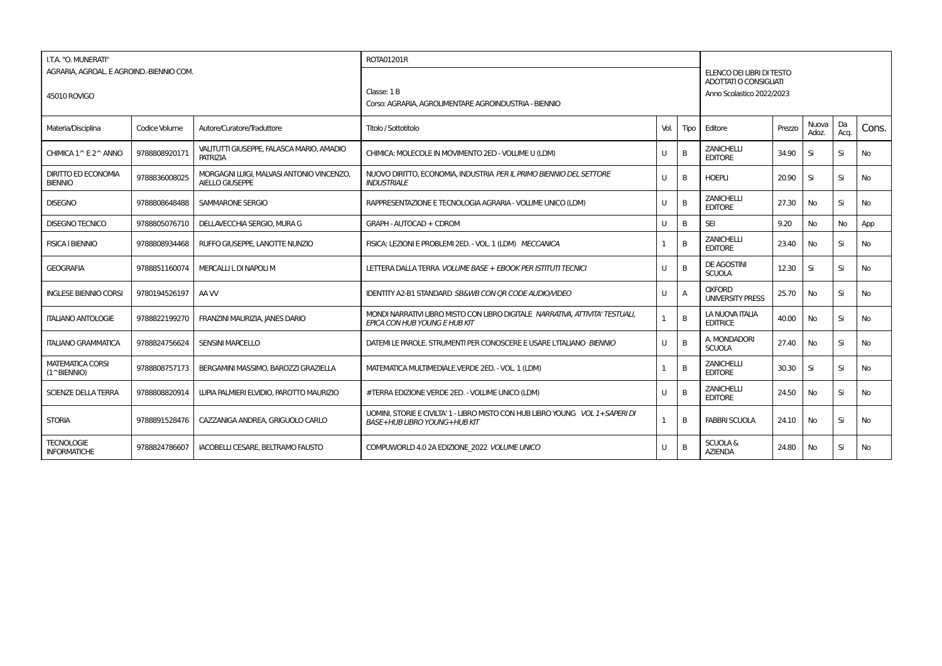| I.T.A. "O. MUNERATI"<br>AGRARIA, AGROAL E AGROIND.-BIENNIO COM.<br>45010 ROVIGO |               |                                                                     | ROTA01201R<br>$\text{Classe: } 1 \text{ B}$<br>Corso: AGRARIA, AGROLIMENTARE AGROINDUSTRIA - BIENNIO                   |      |                | ELENCO DEI LIBRI DI TESTO<br>ADOTTATI O CONSIGLIATI<br>Anno Scolastico 2022/2023 |        |                |            |           |  |  |  |
|---------------------------------------------------------------------------------|---------------|---------------------------------------------------------------------|------------------------------------------------------------------------------------------------------------------------|------|----------------|----------------------------------------------------------------------------------|--------|----------------|------------|-----------|--|--|--|
| Materia/Disciplina                                                              | Codice Volume | Autore/Curatore/Traduttore                                          | Titolo / Sottotitolo                                                                                                   | Vol. | Tipo           | Editore                                                                          | Prezzo | Nuova<br>Adoz. | Da<br>Acq. | Cons.     |  |  |  |
| CHIMICA 1^ E 2^ ANNO                                                            | 9788808920171 | VALITUTTI GIUSEPPE, FALASCA MARIO, AMADIO<br><b>PATRIZIA</b>        | CHIMICA: MOLECOLE IN MOVIMENTO 2ED - VOLUME U (LDM)                                                                    | U    | B              | <b>ZANICHELLI</b><br><b>EDITORE</b>                                              | 34.90  | Si             | Si         | No        |  |  |  |
| <b>DIRITTO ED ECONOMIA</b><br><b>BIENNIO</b>                                    | 9788836008025 | MORGAGNI LUIGI, MALVASI ANTONIO VINCENZO,<br><b>AIELLO GIUSEPPE</b> | NUOVO DIRITTO, ECONOMIA, INDUSTRIA PER IL PRIMO BIENNIO DEL SETTORE<br><b>INDUSTRIALE</b>                              | U    | B              | <b>HOEPLI</b>                                                                    | 20.90  | Si             | Si         | No        |  |  |  |
| <b>DISEGNO</b>                                                                  | 9788808648488 | SAMMARONE SERGIO                                                    | RAPPRESENTAZIONE E TECNOLOGIA AGRARIA - VOLUME UNICO (LDM)                                                             | U    | B              | <b>ZANICHELLI</b><br><b>EDITORE</b>                                              | 27.30  | No             | Si         | No        |  |  |  |
| <b>DISEGNO TECNICO</b>                                                          | 9788805076710 | DELLAVECCHIA SERGIO, MURA G                                         | GRAPH - AUTOCAD + CDROM                                                                                                |      | B              | <b>SEI</b>                                                                       | 9.20   | No             | No         | App       |  |  |  |
| <b>FISICA I BIENNIO</b>                                                         | 9788808934468 | RUFFO GIUSEPPE, LANOTTE NUNZIO                                      | FISICA: LEZIONI E PROBLEMI 2ED. - VOL. 1 (LDM) MECCANICA                                                               |      | B              | <b>ZANICHELLI</b><br><b>EDITORE</b>                                              | 23.40  | No             | Si         | No        |  |  |  |
| <b>GEOGRAFIA</b>                                                                | 9788851160074 | MERCALLI L DI NAPOLI M                                              | LETTERA DALLA TERRA <i>VOLUME BASE + EBOOK PER ISTITUTI TECNICI</i>                                                    | U    | B              | <b>DE AGOSTINI</b><br><b>SCUOLA</b>                                              | 12.30  | Si             | Si         | No        |  |  |  |
| <b>INGLESE BIENNIO CORSI</b>                                                    | 9780194526197 | AA W                                                                | <b>IDENTITY A2-B1 STANDARD SB&amp;WB CON OR CODE AUDIO/VIDEO</b>                                                       | U    | A              | <b>OXFORD</b><br><b>UNIVERSITY PRESS</b>                                         | 25.70  | No.            | Si         | <b>No</b> |  |  |  |
| <b>ITALIANO ANTOLOGIE</b>                                                       | 9788822199270 | FRANZINI MAURIZIA, JANES DARIO                                      | MONDI NARRATIVI LIBRO MISTO CON LIBRO DIGITALE NARRATIVA, ATTIVITA' TESTUALI,<br>EPICA CON HUB YOUNG E HUB KIT         |      | $\overline{B}$ | <b>LA NUOVA ITALIA</b><br><b>EDITRICE</b>                                        | 40.00  | No             | Si         | <b>No</b> |  |  |  |
| <b>ITALIANO GRAMMATICA</b>                                                      | 9788824756624 | <b>SENSINI MARCELLO</b>                                             | DATEMI LE PAROLE. STRUMENTI PER CONOSCERE E USARE L'ITALIANO BIENNIO                                                   | U    | B              | A. MONDADORI<br><b>SCUOLA</b>                                                    | 27.40  | <b>No</b>      | Si         | No        |  |  |  |
| <b>MATEMATICA CORSI</b><br>(1^BIENNIO)                                          | 9788808757173 | BERGAMINI MASSIMO, BAROZZI GRAZIELLA                                | MATEMATICA MULTIMEDIALE.VERDE 2ED. - VOL. 1 (LDM)                                                                      |      | B              | <b>ZANICHELLI</b><br><b>EDITORE</b>                                              | 30.30  | Si             | Si         | No        |  |  |  |
| <b>SCIENZE DELLA TERRA</b>                                                      | 9788808820914 | LUPIA PALMIERI ELVIDIO. PAROTTO MAURIZIO                            | #TERRA EDIZIONE VERDE 2ED. - VOLUME UNICO (LDM)                                                                        |      | B              | <b>ZANICHELLI</b><br><b>EDITORE</b>                                              | 24.50  | <b>No</b>      | Si         | No        |  |  |  |
| <b>STORIA</b>                                                                   | 9788891528476 | CAZZANIGA ANDREA, GRIGUOLO CARLO                                    | UOMINI. STORIE E CIVILTA' 1 - LIBRO MISTO CON HUB LIBRO YOUNG VOL 1 + SAPERI DI<br><b>BASE+HUB LIBRO YOUNG+HUB KIT</b> |      | B              | <b>FABBRI SCUOLA</b>                                                             | 24.10  | <b>No</b>      | Si         | No        |  |  |  |
| <b>TECNOLOGIE</b><br><b>INFORMATICHE</b>                                        | 9788824786607 | IACOBELLI CESARE. BELTRAMO FAUSTO                                   | COMPUWORLD 4.0 2A EDIZIONE 2022 VOLUME UNICO                                                                           |      | B              | <b>SCUOLA &amp;</b><br><b>AZIENDA</b>                                            | 24.80  | No             | Si         | No        |  |  |  |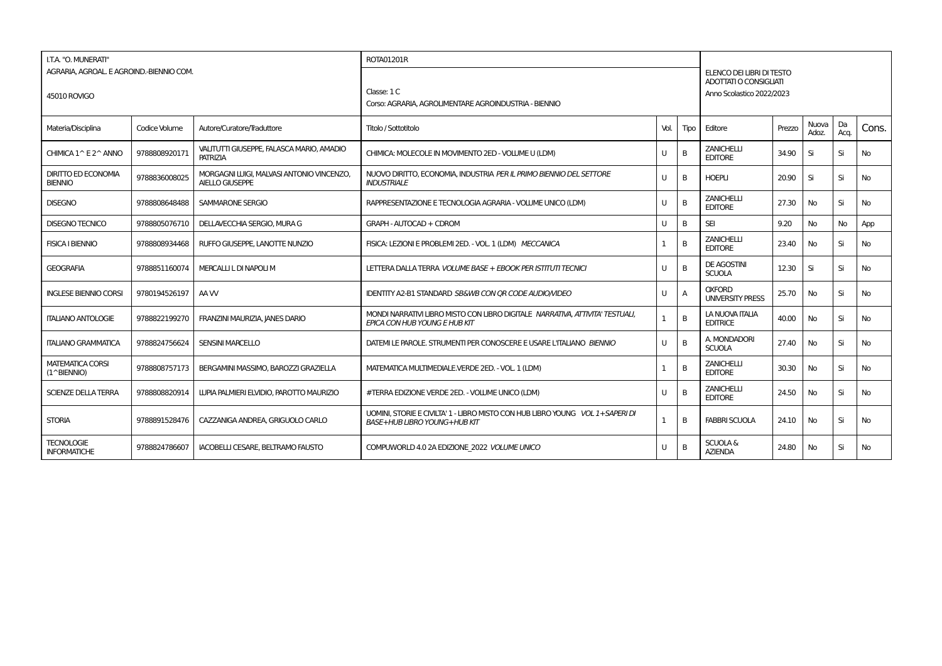| I.T.A. "O. MUNERATI"<br>AGRARIA, AGROAL E AGROIND.-BIENNIO COM.<br>45010 ROVIGO |               |                                                                     | ROTA01201R<br>Classe: 1 C<br>Corso: AGRARIA, AGROLIMENTARE AGROINDUSTRIA - BIENNIO                                     |      |                | ELENCO DEI LIBRI DI TESTO<br><b>ADOTTATI O CONSIGLIATI</b><br>Anno Scolastico 2022/2023 |        |                |            |           |  |  |  |  |
|---------------------------------------------------------------------------------|---------------|---------------------------------------------------------------------|------------------------------------------------------------------------------------------------------------------------|------|----------------|-----------------------------------------------------------------------------------------|--------|----------------|------------|-----------|--|--|--|--|
| Materia/Disciplina                                                              | Codice Volume | Autore/Curatore/Traduttore                                          | Titolo / Sottotitolo                                                                                                   | Vol. | Tipo           | Editore                                                                                 | Prezzo | Nuova<br>Adoz. | Da<br>Acq. | Cons.     |  |  |  |  |
| CHIMICA 1^ E 2^ ANNO                                                            | 9788808920171 | VALITUTTI GIUSEPPE, FALASCA MARIO, AMADIO<br><b>PATRIZIA</b>        | CHIMICA: MOLECOLE IN MOVIMENTO 2ED - VOLUME U (LDM)                                                                    | U    | B              | <b>ZANICHELLI</b><br><b>EDITORE</b>                                                     | 34.90  | Si             | Si         | No        |  |  |  |  |
| <b>DIRITTO ED ECONOMIA</b><br><b>BIENNIO</b>                                    | 9788836008025 | MORGAGNI LUIGI, MALVASI ANTONIO VINCENZO,<br><b>AIELLO GIUSEPPE</b> | NUOVO DIRITTO, ECONOMIA, INDUSTRIA PER IL PRIMO BIENNIO DEL SETTORE<br><b>INDUSTRIALE</b>                              | U    | B              | <b>HOEPLI</b>                                                                           | 20.90  | Si             | Si         | No        |  |  |  |  |
| <b>DISEGNO</b>                                                                  | 9788808648488 | SAMMARONE SERGIO                                                    | RAPPRESENTAZIONE E TECNOLOGIA AGRARIA - VOLUME UNICO (LDM)                                                             | U    | B              | <b>ZANICHELLI</b><br><b>EDITORE</b>                                                     | 27.30  | No             | Si         | No        |  |  |  |  |
| <b>DISEGNO TECNICO</b>                                                          | 9788805076710 | DELLAVECCHIA SERGIO, MURA G                                         | GRAPH - AUTOCAD + CDROM                                                                                                |      | B              | <b>SEI</b>                                                                              | 9.20   | No             | No         | App       |  |  |  |  |
| <b>FISICA I BIENNIO</b>                                                         | 9788808934468 | RUFFO GIUSEPPE, LANOTTE NUNZIO                                      | FISICA: LEZIONI E PROBLEMI 2ED. - VOL. 1 (LDM) MECCANICA                                                               |      | B              | <b>ZANICHELLI</b><br><b>EDITORE</b>                                                     | 23.40  | No             | Si         | No        |  |  |  |  |
| <b>GEOGRAFIA</b>                                                                | 9788851160074 | MERCALLI L DI NAPOLI M                                              | LETTERA DALLA TERRA <i>VOLUME BASE + EBOOK PER ISTITUTI TECNICI</i>                                                    | U    | B              | <b>DE AGOSTINI</b><br><b>SCUOLA</b>                                                     | 12.30  | Si             | Si         | No        |  |  |  |  |
| <b>INGLESE BIENNIO CORSI</b>                                                    | 9780194526197 | AA W                                                                | <b>IDENTITY A2-B1 STANDARD SB&amp;WB CON OR CODE AUDIO/VIDEO</b>                                                       | U    | A              | <b>OXFORD</b><br><b>UNIVERSITY PRESS</b>                                                | 25.70  | No.            | Si         | <b>No</b> |  |  |  |  |
| <b>ITALIANO ANTOLOGIE</b>                                                       | 9788822199270 | FRANZINI MAURIZIA, JANES DARIO                                      | MONDI NARRATIVI LIBRO MISTO CON LIBRO DIGITALE NARRATIVA, ATTIVITA' TESTUALI,<br>EPICA CON HUB YOUNG E HUB KIT         |      | $\overline{B}$ | <b>LA NUOVA ITALIA</b><br><b>EDITRICE</b>                                               | 40.00  | No             | Si         | <b>No</b> |  |  |  |  |
| <b>ITALIANO GRAMMATICA</b>                                                      | 9788824756624 | <b>SENSINI MARCELLO</b>                                             | DATEMI LE PAROLE. STRUMENTI PER CONOSCERE E USARE L'ITALIANO BIENNIO                                                   | U    | B              | A. MONDADORI<br><b>SCUOLA</b>                                                           | 27.40  | <b>No</b>      | Si         | No        |  |  |  |  |
| <b>MATEMATICA CORSI</b><br>(1^BIENNIO)                                          | 9788808757173 | BERGAMINI MASSIMO, BAROZZI GRAZIELLA                                | MATEMATICA MULTIMEDIALE.VERDE 2ED. - VOL. 1 (LDM)                                                                      |      | B              | <b>ZANICHELLI</b><br><b>EDITORE</b>                                                     | 30.30  | No             | Si         | No        |  |  |  |  |
| <b>SCIENZE DELLA TERRA</b>                                                      | 9788808820914 | LUPIA PALMIERI ELVIDIO. PAROTTO MAURIZIO                            | #TERRA EDIZIONE VERDE 2ED. - VOLUME UNICO (LDM)                                                                        |      | B              | <b>ZANICHELLI</b><br><b>EDITORE</b>                                                     | 24.50  | <b>No</b>      | Si         | No        |  |  |  |  |
| <b>STORIA</b>                                                                   | 9788891528476 | CAZZANIGA ANDREA, GRIGUOLO CARLO                                    | UOMINI. STORIE E CIVILTA' 1 - LIBRO MISTO CON HUB LIBRO YOUNG VOL 1 + SAPERI DI<br><b>BASE+HUB LIBRO YOUNG+HUB KIT</b> |      | B              | <b>FABBRI SCUOLA</b>                                                                    | 24.10  | <b>No</b>      | Si         | No        |  |  |  |  |
| <b>TECNOLOGIE</b><br><b>INFORMATICHE</b>                                        | 9788824786607 | IACOBELLI CESARE. BELTRAMO FAUSTO                                   | COMPUWORLD 4.0 2A EDIZIONE 2022 VOLUME UNICO                                                                           |      | B              | <b>SCUOLA &amp;</b><br><b>AZIENDA</b>                                                   | 24.80  | No             | Si         | No        |  |  |  |  |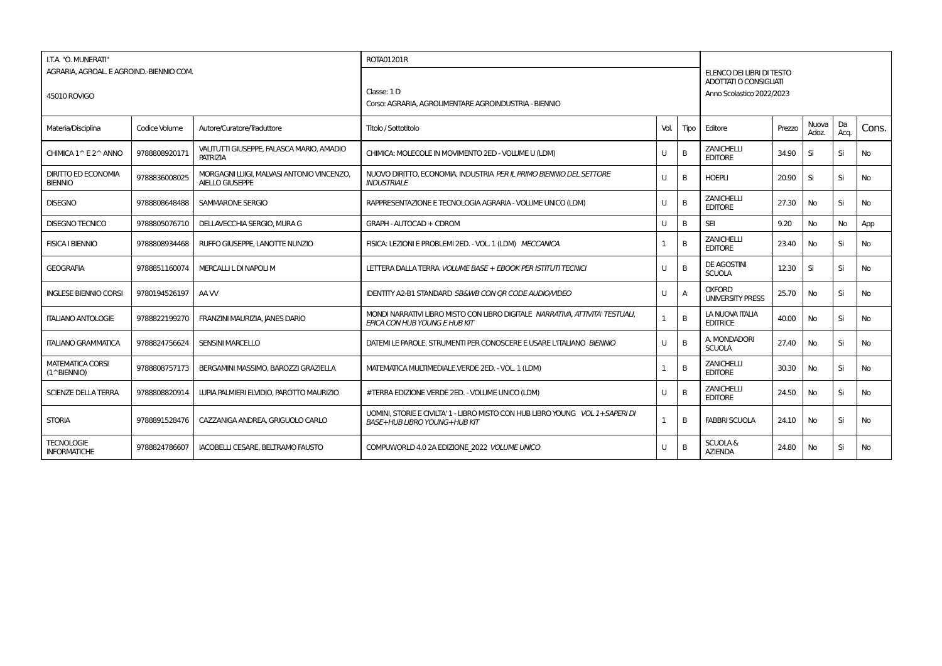| I.T.A. "O. MUNERATI"<br>AGRARIA, AGROAL E AGROIND.-BIENNIO COM.<br>45010 ROVIGO |               |                                                                     | ROTA01201R<br>Classe: 1D<br>Corso: AGRARIA, AGROLIMENTARE AGROINDUSTRIA - BIENNIO                                      |      |                | <b>ADOTTATI O CONSIGLIATI</b>             | ELENCO DEI LIBRI DI TESTO<br>Anno Scolastico 2022/2023 |                |            |           |  |  |  |
|---------------------------------------------------------------------------------|---------------|---------------------------------------------------------------------|------------------------------------------------------------------------------------------------------------------------|------|----------------|-------------------------------------------|--------------------------------------------------------|----------------|------------|-----------|--|--|--|
| Materia/Disciplina                                                              | Codice Volume | Autore/Curatore/Traduttore                                          | Titolo / Sottotitolo                                                                                                   | Vol. | Tipo           | Editore                                   | Prezzo                                                 | Nuova<br>Adoz. | Da<br>Acq. | Cons.     |  |  |  |
| CHIMICA 1^ E 2^ ANNO                                                            | 9788808920171 | VALITUTTI GIUSEPPE, FALASCA MARIO, AMADIO<br><b>PATRIZIA</b>        | CHIMICA: MOLECOLE IN MOVIMENTO 2ED - VOLUME U (LDM)                                                                    | U    | B              | <b>ZANICHELLI</b><br><b>EDITORE</b>       | 34.90                                                  | Si             | Si         | No        |  |  |  |
| <b>DIRITTO ED ECONOMIA</b><br><b>BIENNIO</b>                                    | 9788836008025 | MORGAGNI LUIGI, MALVASI ANTONIO VINCENZO,<br><b>AIELLO GIUSEPPE</b> | NUOVO DIRITTO, ECONOMIA, INDUSTRIA PER IL PRIMO BIENNIO DEL SETTORE<br><b>INDUSTRIALE</b>                              | U    | B              | <b>HOEPLI</b>                             | 20.90                                                  | Si             | Si         | No        |  |  |  |
| <b>DISEGNO</b>                                                                  | 9788808648488 | SAMMARONE SERGIO                                                    | RAPPRESENTAZIONE E TECNOLOGIA AGRARIA - VOLUME UNICO (LDM)                                                             | U    | B              | <b>ZANICHELLI</b><br><b>EDITORE</b>       | 27.30                                                  | No             | Si         | No        |  |  |  |
| <b>DISEGNO TECNICO</b>                                                          | 9788805076710 | DELLAVECCHIA SERGIO, MURA G                                         | GRAPH - AUTOCAD + CDROM                                                                                                |      | B              | <b>SEI</b>                                | 9.20                                                   | No             | No         | App       |  |  |  |
| <b>FISICA I BIENNIO</b>                                                         | 9788808934468 | RUFFO GIUSEPPE, LANOTTE NUNZIO                                      | FISICA: LEZIONI E PROBLEMI 2ED. - VOL. 1 (LDM) MECCANICA                                                               |      | B              | <b>ZANICHELLI</b><br><b>EDITORE</b>       | 23.40                                                  | No             | Si         | No        |  |  |  |
| <b>GEOGRAFIA</b>                                                                | 9788851160074 | MERCALLI L DI NAPOLI M                                              | LETTERA DALLA TERRA <i>VOLUME BASE + EBOOK PER ISTITUTI TECNICI</i>                                                    | U    | B              | <b>DE AGOSTINI</b><br><b>SCUOLA</b>       | 12.30                                                  | Si             | Si         | No        |  |  |  |
| <b>INGLESE BIENNIO CORSI</b>                                                    | 9780194526197 | AA W                                                                | <b>IDENTITY A2-B1 STANDARD SB&amp;WB CON OR CODE AUDIO/VIDEO</b>                                                       | U    | A              | <b>OXFORD</b><br><b>UNIVERSITY PRESS</b>  | 25.70                                                  | No.            | Si         | <b>No</b> |  |  |  |
| <b>ITALIANO ANTOLOGIE</b>                                                       | 9788822199270 | FRANZINI MAURIZIA, JANES DARIO                                      | MONDI NARRATIVI LIBRO MISTO CON LIBRO DIGITALE NARRATIVA, ATTIVITA' TESTUALI,<br>EPICA CON HUB YOUNG E HUB KIT         |      | $\overline{B}$ | <b>LA NUOVA ITALIA</b><br><b>EDITRICE</b> | 40.00                                                  | No             | Si         | <b>No</b> |  |  |  |
| <b>ITALIANO GRAMMATICA</b>                                                      | 9788824756624 | <b>SENSINI MARCELLO</b>                                             | DATEMI LE PAROLE. STRUMENTI PER CONOSCERE E USARE L'ITALIANO BIENNIO                                                   | U    | B              | A. MONDADORI<br><b>SCUOLA</b>             | 27.40                                                  | <b>No</b>      | Si         | No        |  |  |  |
| <b>MATEMATICA CORSI</b><br>(1^BIENNIO)                                          | 9788808757173 | BERGAMINI MASSIMO, BAROZZI GRAZIELLA                                | MATEMATICA MULTIMEDIALE.VERDE 2ED. - VOL. 1 (LDM)                                                                      |      | B              | <b>ZANICHELLI</b><br><b>EDITORE</b>       | 30.30                                                  | No             | Si         | No        |  |  |  |
| <b>SCIENZE DELLA TERRA</b>                                                      | 9788808820914 | LUPIA PALMIERI ELVIDIO. PAROTTO MAURIZIO                            | #TERRA EDIZIONE VERDE 2ED. - VOLUME UNICO (LDM)                                                                        |      | B              | <b>ZANICHELLI</b><br><b>EDITORE</b>       | 24.50                                                  | <b>No</b>      | Si         | No        |  |  |  |
| <b>STORIA</b>                                                                   | 9788891528476 | CAZZANIGA ANDREA, GRIGUOLO CARLO                                    | UOMINI. STORIE E CIVILTA' 1 - LIBRO MISTO CON HUB LIBRO YOUNG VOL 1 + SAPERI DI<br><b>BASE+HUB LIBRO YOUNG+HUB KIT</b> |      | B              | <b>FABBRI SCUOLA</b>                      | 24.10                                                  | <b>No</b>      | Si         | No        |  |  |  |
| <b>TECNOLOGIE</b><br><b>INFORMATICHE</b>                                        | 9788824786607 | IACOBELLI CESARE. BELTRAMO FAUSTO                                   | COMPUWORLD 4.0 2A EDIZIONE 2022 VOLUME UNICO                                                                           |      | B              | <b>SCUOLA &amp;</b><br><b>AZIENDA</b>     | 24.80                                                  | No             | Si         | No        |  |  |  |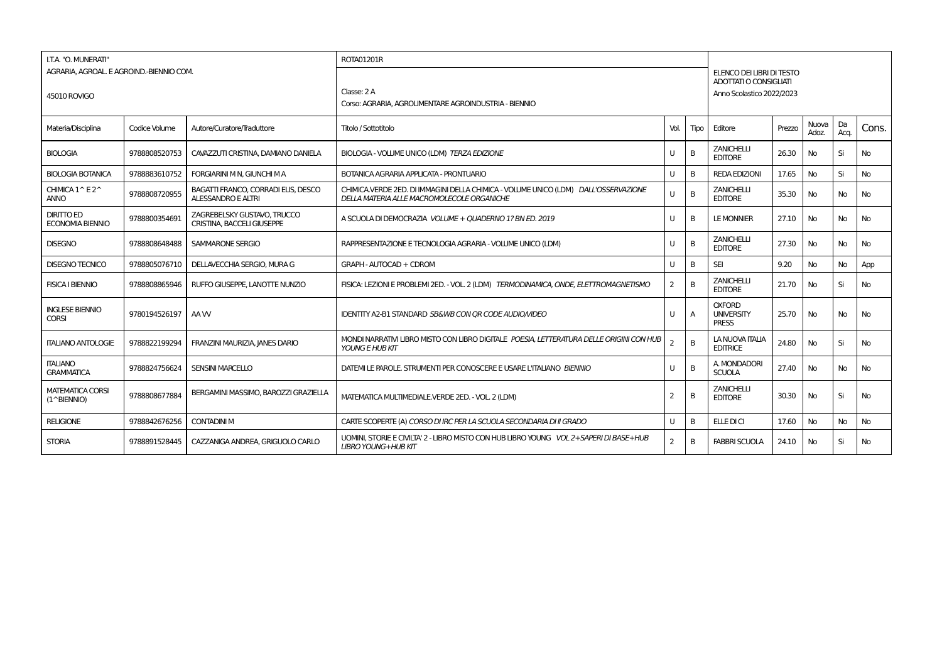| I.T.A. "O. MUNERATI"                                            |               |                                                                  | ROTA01201R                                                                                                                        |                |                |                                                                                  |        |                |            |           |  |  |  |
|-----------------------------------------------------------------|---------------|------------------------------------------------------------------|-----------------------------------------------------------------------------------------------------------------------------------|----------------|----------------|----------------------------------------------------------------------------------|--------|----------------|------------|-----------|--|--|--|
| AGRARIA, AGROAL. E AGROIND.-BIENNIO COM.<br><b>45010 ROVIGO</b> |               |                                                                  | Classe: 2 A<br>Corso: AGRARIA, AGROLIMENTARE AGROINDUSTRIA - BIENNIO                                                              |                |                | ELENCO DEI LIBRI DI TESTO<br>ADOTTATI O CONSIGLIATI<br>Anno Scolastico 2022/2023 |        |                |            |           |  |  |  |
| Materia/Disciplina                                              | Codice Volume | Autore/Curatore/Traduttore                                       | Titolo / Sottotitolo                                                                                                              | Vol.           | Tipo           | Editore                                                                          | Prezzo | Nuova<br>Adoz. | Da<br>Acq. | Cons.     |  |  |  |
| <b>BIOLOGIA</b>                                                 | 9788808520753 | CAVAZZUTI CRISTINA, DAMIANO DANIELA                              | BIOLOGIA - VOLUME UNICO (LDM) TERZA EDIZIONE                                                                                      |                | B              | <b>ZANICHELLI</b><br><b>EDITORE</b>                                              | 26.30  | No             | Si         | No        |  |  |  |
| <b>BIOLOGIA BOTANICA</b>                                        | 9788883610752 | <b>FORGIARINI M N. GIUNCHI M A</b>                               | <b>BOTANICA AGRARIA APPLICATA - PRONTUARIO</b>                                                                                    | U              | B              | <b>REDA EDIZIONI</b>                                                             | 17.65  | No             | Si         | <b>No</b> |  |  |  |
| CHIMICA 1^E2^<br><b>ANNO</b>                                    | 9788808720955 | BAGATTI FRANCO, CORRADI ELIS, DESCO<br><b>ALESSANDRO E ALTRI</b> | CHIMICA.VERDE 2ED. DI IMMAGINI DELLA CHIMICA - VOLUME UNICO (LDM) DALL'OSSERVAZIONE<br>DELLA MATERIA ALLE MACROMOLECOLE ORGANICHE |                | B              | <b>ZANICHELLI</b><br><b>EDITORE</b>                                              | 35.30  | No             | <b>No</b>  | <b>No</b> |  |  |  |
| <b>DIRITTO ED</b><br><b>ECONOMIA BIENNIO</b>                    | 9788800354691 | ZAGREBELSKY GUSTAVO, TRUCCO<br><b>CRISTINA, BACCELI GIUSEPPE</b> | A SCUOLA DI DEMOCRAZIA VOLUME + OUADERNO 1? BN ED. 2019                                                                           | $\mathbf{U}$   | B              | <b>LE MONNIER</b>                                                                | 27.10  | <b>No</b>      | <b>No</b>  | <b>No</b> |  |  |  |
| <b>DISEGNO</b>                                                  | 9788808648488 | SAMMARONE SERGIO                                                 | RAPPRESENTAZIONE E TECNOLOGIA AGRARIA - VOLUME UNICO (LDM)                                                                        | U              | B              | <b>ZANICHELLI</b><br><b>EDITORE</b>                                              | 27.30  | <b>No</b>      | <b>No</b>  | <b>No</b> |  |  |  |
| <b>DISEGNO TECNICO</b>                                          | 9788805076710 | DELLAVECCHIA SERGIO, MURA G                                      | GRAPH - AUTOCAD + CDROM                                                                                                           | U              | B              | <b>SEI</b>                                                                       | 9.20   | No             | No         | App       |  |  |  |
| <b>FISICA I BIENNIO</b>                                         | 9788808865946 | RUFFO GIUSEPPE, LANOTTE NUNZIO                                   | FISICA: LEZIONI E PROBLEMI 2ED. - VOL. 2 (LDM) TERMODINAMICA, ONDE, ELETTROMAGNETISMO                                             | 2              | B              | <b>ZANICHELLI</b><br><b>EDITORE</b>                                              | 21.70  | No             | Si         | <b>No</b> |  |  |  |
| <b>INGLESE BIENNIO</b><br><b>CORSI</b>                          | 9780194526197 | AA W                                                             | IDENTITY A2-B1 STANDARD SB&WB CON OR CODE AUDIO/VIDEO                                                                             | U              | $\overline{A}$ | <b>OXFORD</b><br><b>UNIVERSITY</b><br><b>PRESS</b>                               | 25.70  | No             | <b>No</b>  | <b>No</b> |  |  |  |
| <b>ITALIANO ANTOLOGIE</b>                                       | 9788822199294 | FRANZINI MAURIZIA, JANES DARIO                                   | MONDI NARRATIVI LIBRO MISTO CON LIBRO DIGITALE POESIA. LETTERATURA DELLE ORIGINI CON HUB<br><b>YOUNG E HUB KIT</b>                |                | $\overline{B}$ | LA NUOVA ITALIA<br><b>EDITRICE</b>                                               | 24.80  | <b>No</b>      | Si         | <b>No</b> |  |  |  |
| <b>ITALIANO</b><br><b>GRAMMATICA</b>                            | 9788824756624 | <b>SENSINI MARCELLO</b>                                          | DATEMI LE PAROLE. STRUMENTI PER CONOSCERE E USARE L'ITALIANO BIENNIO                                                              | U              | B              | A. MONDADORI<br><b>SCUOLA</b>                                                    | 27.40  | No             | <b>No</b>  | <b>No</b> |  |  |  |
| <b>MATEMATICA CORSI</b><br>$(1^{\wedge}BIENTIO)$                | 9788808677884 | BERGAMINI MASSIMO, BAROZZI GRAZIELLA                             | MATEMATICA MULTIMEDIALE.VERDE 2ED. - VOL. 2 (LDM)                                                                                 | 2              | B              | <b>ZANICHELLI</b><br><b>EDITORE</b>                                              | 30.30  | <b>No</b>      | Si         | <b>No</b> |  |  |  |
| <b>RELIGIONE</b>                                                | 9788842676256 | <b>CONTADINI M</b>                                               | CARTE SCOPERTE (A) CORSO DI IRC PER LA SCUOLA SECONDARIA DI II GRADO                                                              | $\cup$         | B              | ELLE DI CI                                                                       | 17.60  | <b>No</b>      | No         | <b>No</b> |  |  |  |
| <b>STORIA</b>                                                   | 9788891528445 | CAZZANIGA ANDREA, GRIGUOLO CARLO                                 | UOMINI, STORIE E CIVILTA' 2 - LIBRO MISTO CON HUB LIBRO YOUNG VOL 2+SAPERI DI BASE+HUB<br><b>LIBRO YOUNG+HUB KIT</b>              | $\overline{2}$ | B              | <b>FABBRI SCUOLA</b>                                                             | 24.10  | No             | Si         | No        |  |  |  |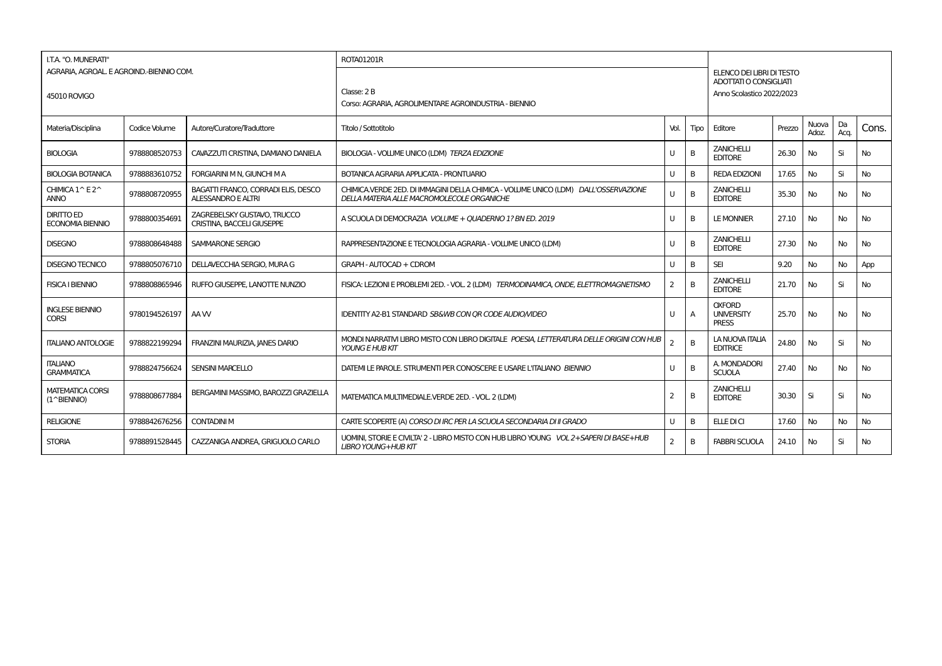| I.T.A. "O. MUNERATI"                             | AGRARIA, AGROAL, E AGROIND.-BIENNIO COM. |                                                                  | ROTA01201R                                                                                                                        |      |                | ELENCO DEI LIBRI DI TESTO                           |        |                |            |           |  |
|--------------------------------------------------|------------------------------------------|------------------------------------------------------------------|-----------------------------------------------------------------------------------------------------------------------------------|------|----------------|-----------------------------------------------------|--------|----------------|------------|-----------|--|
| 45010 ROVIGO                                     |                                          |                                                                  | Classe: 2 B<br>Corso: AGRARIA, AGROLIMENTARE AGROINDUSTRIA - BIENNIO                                                              |      |                | ADOTTATI O CONSIGLIATI<br>Anno Scolastico 2022/2023 |        |                |            |           |  |
| Materia/Disciplina                               | Codice Volume                            | Autore/Curatore/Traduttore                                       | Titolo / Sottotitolo                                                                                                              | Vol. | Tipo           | Editore                                             | Prezzo | Nuova<br>Adoz. | Da<br>Acq. | Cons.     |  |
| <b>BIOLOGIA</b>                                  | 9788808520753                            | CAVAZZUTI CRISTINA. DAMIANO DANIELA                              | BIOLOGIA - VOLUME UNICO (LDM) TERZA EDIZIONE                                                                                      | U    | B              | <b>ZANICHELLI</b><br><b>EDITORE</b>                 | 26.30  | <b>No</b>      | Si         | No        |  |
| <b>BIOLOGIA BOTANICA</b>                         | 9788883610752                            | <b>FORGIARINI M N. GIUNCHI M A</b>                               | <b>BOTANICA AGRARIA APPLICATA - PRONTUARIO</b>                                                                                    | U    | B              | <b>REDA EDIZIONI</b>                                | 17.65  | <b>No</b>      | Si         | No        |  |
| CHIMICA 1^E2^<br><b>ANNO</b>                     | 9788808720955                            | BAGATTI FRANCO, CORRADI ELIS, DESCO<br><b>ALESSANDRO E ALTRI</b> | CHIMICA.VERDE 2ED. DI IMMAGINI DELLA CHIMICA - VOLUME UNICO (LDM) DALL'OSSERVAZIONE<br>DELLA MATERIA ALLE MACROMOLECOLE ORGANICHE | U    | B              | <b>ZANICHELLI</b><br><b>EDITORE</b>                 | 35.30  | <b>No</b>      | <b>No</b>  | No        |  |
| <b>DIRITTO ED</b><br><b>ECONOMIA BIENNIO</b>     | 9788800354691                            | ZAGREBELSKY GUSTAVO, TRUCCO<br>CRISTINA. BACCELI GIUSEPPE        | A SCUOLA DI DEMOCRAZIA VOLUME + QUADERNO 1? BN ED. 2019                                                                           | U    | B              | <b>LE MONNIER</b>                                   | 27.10  | No             | No         | No        |  |
| <b>DISEGNO</b>                                   | 9788808648488                            | SAMMARONE SERGIO                                                 | RAPPRESENTAZIONE E TECNOLOGIA AGRARIA - VOLUME UNICO (LDM)                                                                        | U    | B              | <b>ZANICHELLI</b><br><b>EDITORE</b>                 | 27.30  | <b>No</b>      | <b>No</b>  | No        |  |
| <b>DISEGNO TECNICO</b>                           | 9788805076710                            | DELLAVECCHIA SERGIO, MURA G                                      | GRAPH - AUTOCAD + CDROM                                                                                                           | U    | B              | <b>SEI</b>                                          | 9.20   | No             | No         | App       |  |
| <b>FISICA I BIENNIO</b>                          | 9788808865946                            | RUFFO GIUSEPPE. LANOTTE NUNZIO                                   | FISICA: LEZIONI E PROBLEMI 2ED. - VOL. 2 (LDM) TERMODINAMICA, ONDE, ELETTROMAGNETISMO                                             | 2    | B              | <b>ZANICHELLI</b><br><b>EDITORE</b>                 | 21.70  | <b>No</b>      | Si         | No        |  |
| <b>INGLESE BIENNIO</b><br><b>CORSI</b>           | 9780194526197                            | AA W                                                             | <b>IDENTITY A2-B1 STANDARD SB&amp;WB CON OR CODE AUDIOMIDEO</b>                                                                   | U    | A              | <b>OXFORD</b><br><b>UNIVERSITY</b><br><b>PRESS</b>  | 25.70  | <b>No</b>      | <b>No</b>  | No        |  |
| <b>ITALIANO ANTOLOGIE</b>                        | 9788822199294                            | FRANZINI MAURIZIA, JANES DARIO                                   | MONDI NARRATIVI LIBRO MISTO CON LIBRO DIGITALE POESIA, LETTERATURA DELLE ORIGINI CON HUB<br><b>YOUNG E HUB KIT</b>                |      | $\overline{B}$ | LA NUOVA ITALIA<br><b>EDITRICE</b>                  | 24.80  | <b>No</b>      | Si         | No        |  |
| <b>ITALIANO</b><br><b>GRAMMATICA</b>             | 9788824756624                            | <b>SENSINI MARCELLO</b>                                          | DATEMI LE PAROLE. STRUMENTI PER CONOSCERE E USARE L'ITALIANO BIENNIO                                                              | U    | B              | A. MONDADORI<br><b>SCUOLA</b>                       | 27.40  | <b>No</b>      | No         | No        |  |
| <b>MATEMATICA CORSI</b><br>$(1^{\wedge}BIENTIO)$ | 9788808677884                            | BERGAMINI MASSIMO, BAROZZI GRAZIELLA                             | MATEMATICA MULTIMEDIALE.VERDE 2ED. - VOL. 2 (LDM)                                                                                 | 2    | B              | <b>ZANICHELLI</b><br><b>EDITORE</b>                 | 30.30  | Si             | Si         | <b>No</b> |  |
| <b>RELIGIONE</b>                                 | 9788842676256                            | <b>CONTADINI M</b>                                               | CARTE SCOPERTE (A) CORSO DI IRC PER LA SCUOLA SECONDARIA DI II GRADO                                                              | U    | B              | ELLE DI CI                                          | 17.60  | No             | <b>No</b>  | No        |  |
| <b>STORIA</b>                                    | 9788891528445                            | CAZZANIGA ANDREA, GRIGUOLO CARLO                                 | UOMINI, STORIE E CIVILTA' 2 - LIBRO MISTO CON HUB LIBRO YOUNG VOL 2 + SAPERI DI BASE + HUB<br><b>LIBRO YOUNG+HUB KIT</b>          | 2    | B              | <b>FABBRI SCUOLA</b>                                | 24.10  | No             | Si         | No        |  |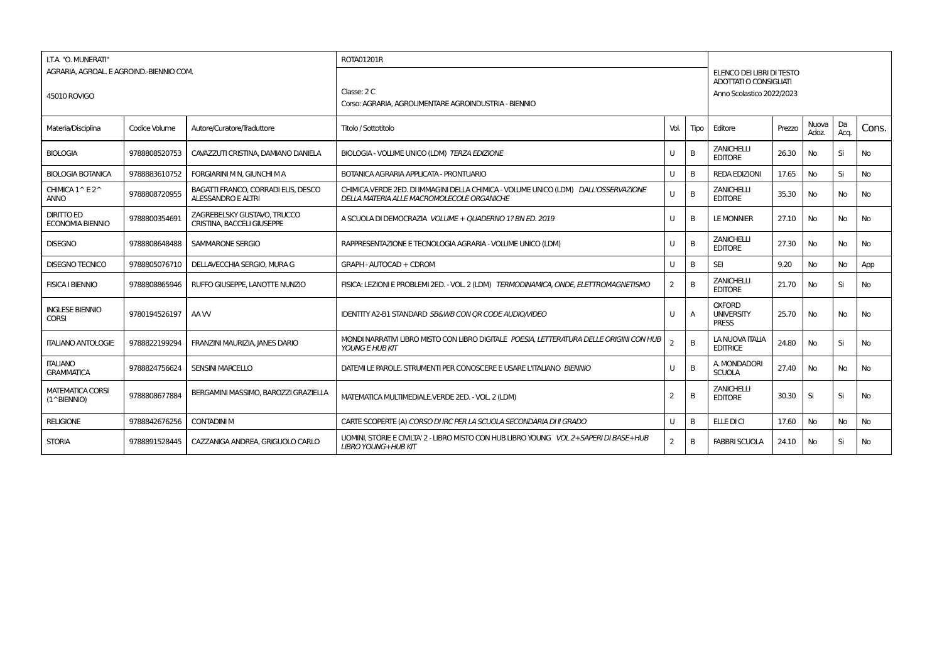| I.T.A. "O. MUNERATI"                                     |               |                                                                  | ROTA01201R                                                                                                                        |                |                |                                                                                  |        |                |            |           |  |
|----------------------------------------------------------|---------------|------------------------------------------------------------------|-----------------------------------------------------------------------------------------------------------------------------------|----------------|----------------|----------------------------------------------------------------------------------|--------|----------------|------------|-----------|--|
| AGRARIA, AGROAL, E AGROIND.-BIENNIO COM.<br>45010 ROVIGO |               |                                                                  | Classe: 2 C<br>Corso: AGRARIA, AGROLIMENTARE AGROINDUSTRIA - BIENNIO                                                              |                |                | ELENCO DEI LIBRI DI TESTO<br>ADOTTATI O CONSIGLIATI<br>Anno Scolastico 2022/2023 |        |                |            |           |  |
| Materia/Disciplina                                       | Codice Volume | Autore/Curatore/Traduttore                                       | Titolo / Sottotitolo                                                                                                              | Vol.           | Tipo           | Editore                                                                          | Prezzo | Nuova<br>Adoz. | Da<br>Acq. | Cons.     |  |
| <b>BIOLOGIA</b>                                          | 9788808520753 | CAVAZZUTI CRISTINA, DAMIANO DANIELA                              | BIOLOGIA - VOLUME UNICO (LDM) TERZA EDIZIONE                                                                                      |                | B              | <b>ZANICHELLI</b><br><b>EDITORE</b>                                              | 26.30  | No             | Si         | <b>No</b> |  |
| <b>BIOLOGIA BOTANICA</b>                                 | 9788883610752 | FORGIARINI M N, GIUNCHI M A                                      | <b>BOTANICA AGRARIA APPLICATA - PRONTUARIO</b>                                                                                    | U              | B              | <b>REDA EDIZIONI</b>                                                             | 17.65  | No             | Si         | <b>No</b> |  |
| CHIMICA 1^E2^<br><b>ANNO</b>                             | 9788808720955 | BAGATTI FRANCO, CORRADI ELIS, DESCO<br><b>ALESSANDRO E ALTRI</b> | CHIMICA VERDE 2ED. DI IMMAGINI DELLA CHIMICA - VOLUME UNICO (LDM) DALL'OSSERVAZIONE<br>DELLA MATERIA ALLE MACROMOLECOLE ORGANICHE |                | B              | <b>ZANICHELLI</b><br><b>EDITORE</b>                                              | 35.30  | No             | <b>No</b>  | <b>No</b> |  |
| <b>DIRITTO ED</b><br><b>ECONOMIA BIENNIO</b>             | 9788800354691 | ZAGREBELSKY GUSTAVO. TRUCCO<br><b>CRISTINA, BACCELI GIUSEPPE</b> | A SCUOLA DI DEMOCRAZIA VOLUME + QUADERNO 1? BN ED. 2019                                                                           | U              | B              | <b>LE MONNIER</b>                                                                | 27.10  | <b>No</b>      | No         | <b>No</b> |  |
| <b>DISEGNO</b>                                           | 9788808648488 | SAMMARONE SERGIO                                                 | RAPPRESENTAZIONE E TECNOLOGIA AGRARIA - VOLUME UNICO (LDM)                                                                        | U              | B              | <b>ZANICHELLI</b><br><b>EDITORE</b>                                              | 27.30  | <b>No</b>      | No         | <b>No</b> |  |
| <b>DISEGNO TECNICO</b>                                   | 9788805076710 | DELLAVECCHIA SERGIO, MURA G                                      | GRAPH - AUTOCAD + CDROM                                                                                                           |                | B              | <b>SEI</b>                                                                       | 9.20   | <b>No</b>      | <b>No</b>  | App       |  |
| <b>FISICA I BIENNIO</b>                                  | 9788808865946 | RUFFO GIUSEPPE. LANOTTE NUNZIO                                   | FISICA: LEZIONI E PROBLEMI 2ED. - VOL. 2 (LDM) TERMODINAMICA, ONDE, ELETTROMAGNETISMO                                             | $\overline{2}$ | B              | <b>ZANICHELLI</b><br><b>EDITORE</b>                                              | 21.70  | No             | Si         | <b>No</b> |  |
| <b>INGLESE BIENNIO</b><br><b>CORSI</b>                   | 9780194526197 | AA W                                                             | <b>IDENTITY A2-B1 STANDARD SB&amp;WB CON OR CODE AUDIOMIDEO</b>                                                                   | U              | $\overline{A}$ | <b>OXFORD</b><br><b>UNIVERSITY</b><br><b>PRESS</b>                               | 25.70  | <b>No</b>      | <b>No</b>  | <b>No</b> |  |
| <b>ITALIANO ANTOLOGIE</b>                                | 9788822199294 | FRANZINI MAURIZIA, JANES DARIO                                   | MONDI NARRATIVI LIBRO MISTO CON LIBRO DIGITALE POESIA, LETTERATURA DELLE ORIGINI CON HUB<br><b>YOUNG E HUB KIT</b>                |                | B              | LA NUOVA ITALIA<br><b>EDITRICE</b>                                               | 24.80  | <b>No</b>      | Si         | <b>No</b> |  |
| <b>ITALIANO</b><br><b>GRAMMATICA</b>                     | 9788824756624 | <b>SENSINI MARCELLO</b>                                          | DATEMI LE PAROLE. STRUMENTI PER CONOSCERE E USARE L'ITALIANO BIENNIO                                                              | $\cup$         | B              | A. MONDADORI<br><b>SCUOLA</b>                                                    | 27.40  | <b>No</b>      | <b>No</b>  | <b>No</b> |  |
| <b>MATEMATICA CORSI</b><br>$(1^{\wedge}BIENTIO)$         | 9788808677884 | BERGAMINI MASSIMO, BAROZZI GRAZIELLA                             | MATEMATICA MULTIMEDIALE.VERDE 2ED. - VOL. 2 (LDM)                                                                                 | 2              | B              | <b>ZANICHELLI</b><br><b>EDITORE</b>                                              | 30.30  | Si             | Si         | <b>No</b> |  |
| <b>RELIGIONE</b>                                         | 9788842676256 | <b>CONTADINI M</b>                                               | CARTE SCOPERTE (A) CORSO DI IRC PER LA SCUOLA SECONDARIA DI II GRADO                                                              | $\cup$         | B              | ELLE DI CI                                                                       | 17.60  | <b>No</b>      | <b>No</b>  | <b>No</b> |  |
| <b>STORIA</b>                                            | 9788891528445 | CAZZANIGA ANDREA, GRIGUOLO CARLO                                 | UOMINI. STORIE E CIVILTA' 2 - LIBRO MISTO CON HUB LIBRO YOUNG VOL 2+SAPERI DI BASE+HUB<br><b>LIBRO YOUNG+HUB KIT</b>              | 2              | B              | <b>FABBRI SCUOLA</b>                                                             | 24.10  | No.            | Si         | <b>No</b> |  |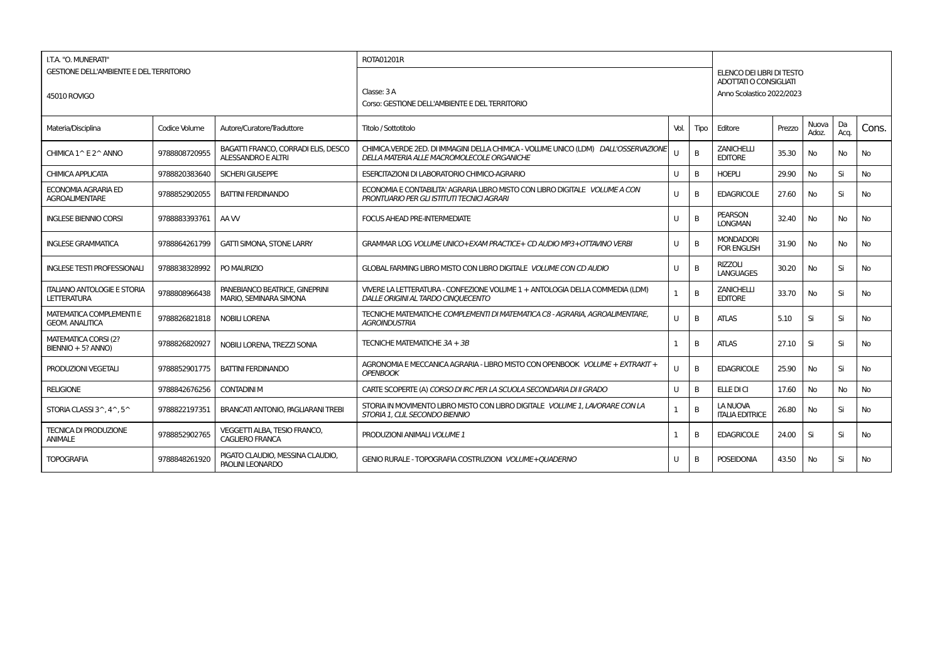| I.T.A. "O. MUNERATI"                                      | <b>GESTIONE DELL'AMBIENTE E DEL TERRITORIO</b> |                                                           | <b>ROTA01201R</b>                                                                                                                 |              |      |                                                     |        |                |            |           |
|-----------------------------------------------------------|------------------------------------------------|-----------------------------------------------------------|-----------------------------------------------------------------------------------------------------------------------------------|--------------|------|-----------------------------------------------------|--------|----------------|------------|-----------|
|                                                           |                                                |                                                           |                                                                                                                                   |              |      | ELENCO DEI LIBRI DI TESTO<br>ADOTTATI O CONSIGLIATI |        |                |            |           |
| 45010 ROVIGO                                              |                                                |                                                           | Classe: 3 A                                                                                                                       |              |      | Anno Scolastico 2022/2023                           |        |                |            |           |
|                                                           |                                                |                                                           | Corso: GESTIONE DELL'AMBIENTE E DEL TERRITORIO                                                                                    |              |      |                                                     |        |                |            |           |
| Materia/Disciplina                                        | Codice Volume                                  | Autore/Curatore/Traduttore                                | Titolo / Sottotitolo                                                                                                              | Vol.         | Tipo | Editore                                             | Prezzo | Nuova<br>Adoz. | Da<br>Acq. | Cons.     |
| CHIMICA 1 ^ E 2 ^ ANNO                                    | 9788808720955                                  | BAGATTI FRANCO, CORRADI ELIS, DESCO<br>ALESSANDRO E ALTRI | CHIMICA.VERDE 2ED. DI IMMAGINI DELLA CHIMICA - VOLUME UNICO (LDM) DALL'OSSERVAZIONE<br>DELLA MATERIA ALLE MACROMOLECOLE ORGANICHE | п            | B    | <b>ZANICHELLI</b><br><b>EDITORE</b>                 | 35.30  | No.            | No         | No        |
| <b>CHIMICA APPLICATA</b>                                  | 9788820383640                                  | <b>SICHERI GIUSEPPE</b>                                   | ESERCITAZIONI DI LABORATORIO CHIMICO-AGRARIO                                                                                      | U            | B    | <b>HOEPLI</b>                                       | 29.90  | No             | Si         | <b>No</b> |
| ECONOMIA AGRARIA ED<br><b>AGROALIMENTARE</b>              | 9788852902055                                  | <b>BATTINI FERDINANDO</b>                                 | ECONOMIA E CONTABILITA' AGRARIA LIBRO MISTO CON LIBRO DIGITALE VOLUME A CON<br>PRONTUARIO PER GLI ISTITUTI TECNICI AGRARI         | U            | B    | <b>EDAGRICOLE</b>                                   | 27.60  | No             | Si         | No        |
| <b>INGLESE BIENNIO CORSI</b>                              | 9788883393761                                  | AA W                                                      | <b>FOCUS AHEAD PRE-INTERMEDIATE</b>                                                                                               | $\mathbf{U}$ | B    | <b>PEARSON</b><br><b>LONGMAN</b>                    | 32.40  | <b>No</b>      | No         | <b>No</b> |
| <b>INGLESE GRAMMATICA</b>                                 | 9788864261799                                  | <b>GATTI SIMONA, STONE LARRY</b>                          | GRAMMAR LOG VOLUME UNICO+EXAM PRACTICE+ CD AUDIO MP3+OTTAVINO VERBI                                                               | $\mathbf{I}$ | B    | <b>MONDADORI</b><br><b>FOR ENGLISH</b>              | 31.90  | No             | <b>No</b>  | <b>No</b> |
| <b>INGLESE TESTI PROFESSIONALI</b>                        | 9788838328992                                  | PO MAURIZIO                                               | GLOBAL FARMING LIBRO MISTO CON LIBRO DIGITALE VOLUME CON CD AUDIO                                                                 | U            | B    | <b>RIZZOLI</b><br><b>LANGUAGES</b>                  | 30.20  | No             | Si         | No        |
| <b>ITALIANO ANTOLOGIE E STORIA</b><br><b>LETTERATURA</b>  | 9788808966438                                  | PANEBIANCO BEATRICE, GINEPRINI<br>MARIO. SEMINARA SIMONA  | VIVERE LA LETTERATURA - CONFEZIONE VOLUME 1 + ANTOLOGIA DELLA COMMEDIA (LDM)<br>DALLE ORIGINI AL TARDO CINQUECENTO                |              | B    | <b>ZANICHELLI</b><br><b>EDITORE</b>                 | 33.70  | No             | Si         | <b>No</b> |
| <b>MATEMATICA COMPLEMENTI E</b><br><b>GEOM, ANALITICA</b> | 9788826821818                                  | <b>NOBILI LORENA</b>                                      | TECNICHE MATEMATICHE COMPLEMENTI DI MATEMATICA C8 - AGRARIA, AGROALIMENTARE,<br><b>AGROINDUSTRIA</b>                              | U            | B    | <b>ATLAS</b>                                        | 5.10   | Si             | Si         | No        |
| MATEMATICA CORSI (2?<br>BIENNIO + 5? ANNO)                | 9788826820927                                  | NOBILI LORENA, TREZZI SONIA                               | TECNICHE MATEMATICHE 3A + 3B                                                                                                      |              | B    | <b>ATLAS</b>                                        | 27.10  | Si             | Si         | No.       |
| PRODUZIONI VEGETALI                                       | 9788852901775                                  | <b>BATTINI FERDINANDO</b>                                 | AGRONOMIA E MECCANICA AGRARIA - LIBRO MISTO CON OPENBOOK VOLUME + EXTRAKIT +<br><b>OPENBOOK</b>                                   |              | B    | <b>EDAGRICOLE</b>                                   | 25.90  | No             | Si         | No        |
| <b>RELIGIONE</b>                                          | 9788842676256                                  | <b>CONTADINI M</b>                                        | CARTE SCOPERTE (A) CORSO DI IRC PER LA SCUOLA SECONDARIA DI II GRADO                                                              | U            | B    | <b>ELLE DI CI</b>                                   | 17.60  | No             | <b>No</b>  | <b>No</b> |
| STORIA CLASSI 3^, 4^, 5^                                  | 9788822197351                                  | <b>BRANCATI ANTONIO, PAGLIARANI TREBI</b>                 | STORIA IN MOVIMENTO LIBRO MISTO CON LIBRO DIGITALE VOLUME 1, LAVORARE CON LA<br>STORIA 1. CLIL SECONDO BIENNIO                    | -1           | B    | LA NUOVA<br><b>ITALIA EDITRICE</b>                  | 26.80  | No             | Si         | No        |
| <b>TECNICA DI PRODUZIONE</b><br><b>ANIMALE</b>            | 9788852902765                                  | VEGGETTI ALBA. TESIO FRANCO.<br>CAGLIERO FRANCA           | PRODUZIONI ANIMALI VOLUME 1                                                                                                       |              | B    | <b>EDAGRICOLE</b>                                   | 24.00  | Si             | Si         | No        |
| <b>TOPOGRAFIA</b>                                         | 9788848261920                                  | PIGATO CLAUDIO, MESSINA CLAUDIO,<br>PAOLINI LEONARDO      | GENIO RURALE - TOPOGRAFIA COSTRUZIONI VOLUME + OUADERNO                                                                           | $\mathbf{U}$ | B    | <b>POSEIDONIA</b>                                   | 43.50  | No.            | Si         | No.       |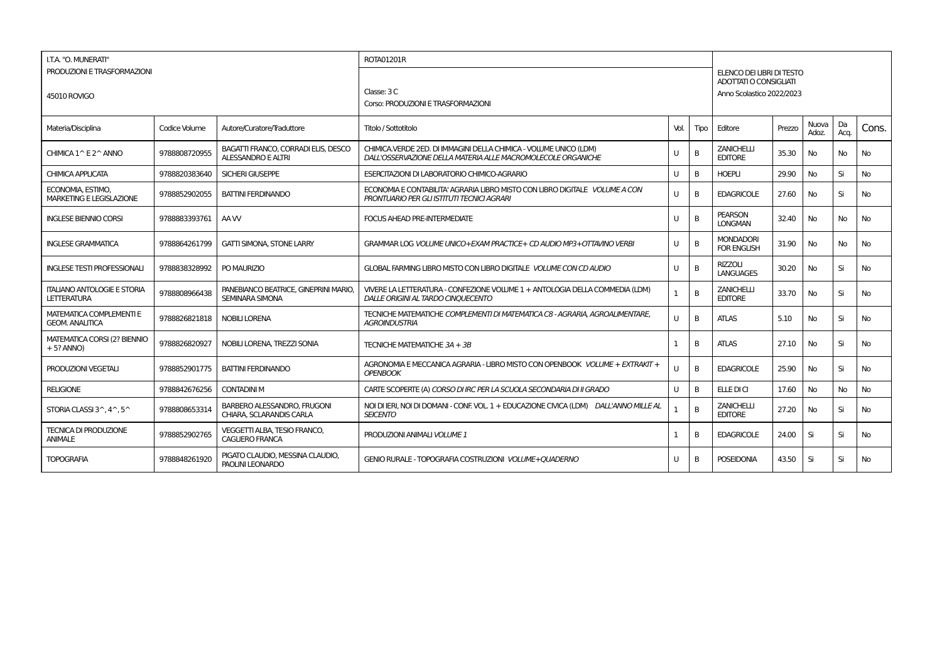| I.T.A. "O. MUNERATI"                                      |               |                                                                  | ROTA01201R                                                                                                                        |              |      |                                                     |        |                |            |           |
|-----------------------------------------------------------|---------------|------------------------------------------------------------------|-----------------------------------------------------------------------------------------------------------------------------------|--------------|------|-----------------------------------------------------|--------|----------------|------------|-----------|
| PRODUZIONI E TRASFORMAZIONI                               |               |                                                                  |                                                                                                                                   |              |      | ELENCO DEI LIBRI DI TESTO<br>ADOTTATI O CONSIGLIATI |        |                |            |           |
| 45010 ROVIGO                                              |               |                                                                  | Classe: 3 C                                                                                                                       |              |      | Anno Scolastico 2022/2023                           |        |                |            |           |
|                                                           |               |                                                                  | Corso: PRODUZIONI E TRASFORMAZIONI                                                                                                |              |      |                                                     |        |                |            |           |
| Materia/Disciplina                                        | Codice Volume | Autore/Curatore/Traduttore                                       | Titolo / Sottotitolo                                                                                                              | Vol.         | Tipo | Editore                                             | Prezzo | Nuova<br>Adoz. | Da<br>Acq. | Cons.     |
| CHIMICA 1 ^ E 2 ^ ANNO                                    | 9788808720955 | BAGATTI FRANCO, CORRADI ELIS, DESCO<br><b>ALESSANDRO E ALTRI</b> | CHIMICA.VERDE 2ED. DI IMMAGINI DELLA CHIMICA - VOLUME UNICO (LDM)<br>DALL'OSSERVAZIONE DELLA MATERIA ALLE MACROMOLECOLE ORGANICHE | $\mathbf{U}$ | B    | <b>ZANICHELLI</b><br><b>EDITORE</b>                 | 35.30  | No.            | No         | No        |
| <b>CHIMICA APPLICATA</b>                                  | 9788820383640 | SICHERI GIUSEPPE                                                 | ESERCITAZIONI DI LABORATORIO CHIMICO-AGRARIO                                                                                      | U            | B    | <b>HOEPLI</b>                                       | 29.90  | No             | Si         | <b>No</b> |
| ECONOMIA, ESTIMO,<br><b>MARKETING E LEGISLAZIONE</b>      | 9788852902055 | <b>BATTINI FERDINANDO</b>                                        | ECONOMIA E CONTABILITA' AGRARIA LIBRO MISTO CON LIBRO DIGITALE VOLUME A CON<br>PRONTUARIO PER GLI ISTITUTI TECNICI AGRARI         | U            | B    | <b>EDAGRICOLE</b>                                   | 27.60  | <b>No</b>      | Si         | No        |
| <b>INGLESE BIENNIO CORSI</b>                              | 9788883393761 | AA W                                                             | <b>FOCUS AHEAD PRE-INTERMEDIATE</b>                                                                                               | U            | B    | <b>PEARSON</b><br><b>LONGMAN</b>                    | 32.40  | No             | No         | No        |
| <b>INGLESE GRAMMATICA</b>                                 | 9788864261799 | <b>GATTI SIMONA, STONE LARRY</b>                                 | GRAMMAR LOG VOLUME UNICO+EXAM PRACTICE+ CD AUDIO MP3+OTTAVINO VERBI                                                               | $\mathbf{U}$ | B    | <b>MONDADORI</b><br><b>FOR ENGLISH</b>              | 31.90  | <b>No</b>      | No         | <b>No</b> |
| <b>INGLESE TESTI PROFESSIONALI</b>                        | 9788838328992 | PO MAURIZIO                                                      | GLOBAL FARMING LIBRO MISTO CON LIBRO DIGITALE VOLUME CON CD AUDIO                                                                 | U            | B    | <b>RIZZOLI</b><br><b>LANGUAGES</b>                  | 30.20  | No.            | Si         | <b>No</b> |
| <b>ITALIANO ANTOLOGIE E STORIA</b><br><b>LETTERATURA</b>  | 9788808966438 | PANEBIANCO BEATRICE, GINEPRINI MARIO,<br><b>SEMINARA SIMONA</b>  | VIVERE LA LETTERATURA - CONFEZIONE VOLUME 1 + ANTOLOGIA DELLA COMMEDIA (LDM)<br>DALLE ORIGINI AL TARDO CINOUECENTO                |              | B    | <b>ZANICHELLI</b><br><b>EDITORE</b>                 | 33.70  | <b>No</b>      | Si         | <b>No</b> |
| <b>MATEMATICA COMPLEMENTI E</b><br><b>GEOM, ANALITICA</b> | 9788826821818 | NOBILI LORENA                                                    | TECNICHE MATEMATICHE COMPLEMENTI DI MATEMATICA C8 - AGRARIA, AGROALIMENTARE,<br><b>AGROINDUSTRIA</b>                              | U            | B    | <b>ATLAS</b>                                        | 5.10   | <b>No</b>      | Si         | <b>No</b> |
| <b>MATEMATICA CORSI (2? BIENNIO</b><br>$+5?$ ANNO)        | 9788826820927 | NOBILI LORENA, TREZZI SONIA                                      | TECNICHE MATEMATICHE 3A + 3B                                                                                                      |              | B    | <b>ATLAS</b>                                        | 27.10  | <b>No</b>      | Si         | <b>No</b> |
| <b>PRODUZIONI VEGETALI</b>                                | 9788852901775 | <b>BATTINI FERDINANDO</b>                                        | AGRONOMIA E MECCANICA AGRARIA - LIBRO MISTO CON OPENBOOK VOLUME + EXTRAKIT +<br><b>OPENBOOK</b>                                   |              | B    | <b>EDAGRICOLE</b>                                   | 25.90  | No.            | Si         | No        |
| <b>RELIGIONE</b>                                          | 9788842676256 | <b>CONTADINI M</b>                                               | CARTE SCOPERTE (A) CORSO DI IRC PER LA SCUOLA SECONDARIA DI II GRADO                                                              | U            | B    | <b>ELLE DI CI</b>                                   | 17.60  | No             | <b>No</b>  | <b>No</b> |
| STORIA CLASSI 3^, 4^, 5^                                  | 9788808653314 | <b>BARBERO ALESSANDRO, FRUGONI</b><br>CHIARA, SCLARANDIS CARLA   | NOI DI IERI. NOI DI DOMANI - CONF. VOL. 1 + EDUCAZIONE CIVICA (LDM) DALL'ANNO MILLE AL<br><b>SEICENTO</b>                         |              | B    | <b>ZANICHELLI</b><br><b>EDITORE</b>                 | 27.20  | No             | Si         | <b>No</b> |
| <b>TECNICA DI PRODUZIONE</b><br><b>ANIMALE</b>            | 9788852902765 | VEGGETTI ALBA, TESIO FRANCO,<br><b>CAGLIERO FRANCA</b>           | PRODUZIONI ANIMALI VOLUME 1                                                                                                       |              | B    | <b>EDAGRICOLE</b>                                   | 24.00  | Si             | Si         | No        |
| <b>TOPOGRAFIA</b>                                         | 9788848261920 | PIGATO CLAUDIO, MESSINA CLAUDIO,<br>PAOLINI LEONARDO             | GENIO RURALE - TOPOGRAFIA COSTRUZIONI VOLUME + OUADERNO                                                                           | $\mathbf{U}$ | B    | <b>POSEIDONIA</b>                                   | 43.50  | Si             | Si         | <b>No</b> |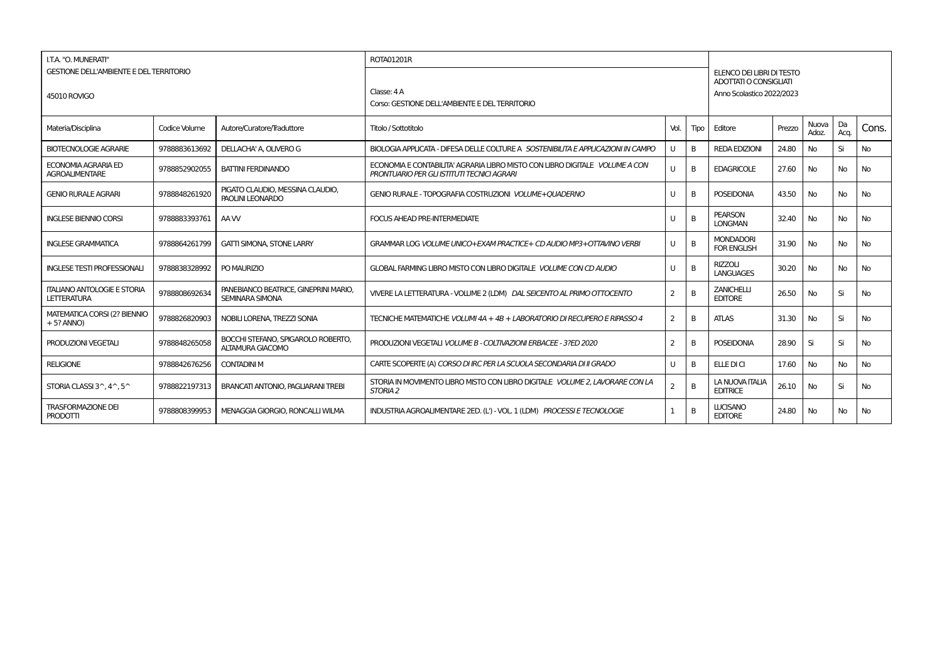| I.T.A. "O. MUNERATI"                                           |               |                                                          | <b>ROTA01201R</b>                                                                                                         |                |              |                                                                                  |        |                |            |           |  |  |
|----------------------------------------------------------------|---------------|----------------------------------------------------------|---------------------------------------------------------------------------------------------------------------------------|----------------|--------------|----------------------------------------------------------------------------------|--------|----------------|------------|-----------|--|--|
| <b>GESTIONE DELL'AMBIENTE E DEL TERRITORIO</b><br>45010 ROVIGO |               |                                                          | Classe: 4A<br>Corso: GESTIONE DELL'AMBIENTE E DEL TERRITORIO                                                              |                |              | ELENCO DEI LIBRI DI TESTO<br>ADOTTATI O CONSIGLIATI<br>Anno Scolastico 2022/2023 |        |                |            |           |  |  |
| Materia/Disciplina                                             | Codice Volume | Autore/Curatore/Traduttore                               | Titolo / Sottotitolo                                                                                                      | Vol.           | Tipo         | Editore                                                                          | Prezzo | Nuova<br>Adoz. | Da<br>Acq. | Cons.     |  |  |
| <b>BIOTECNOLOGIE AGRARIE</b>                                   | 9788883613692 | DELLACHA' A. OLIVERO G                                   | BIOLOGIA APPLICATA - DIFESA DELLE COLTURE A SOSTENIBILITA E APPLICAZIONI IN CAMPO                                         | $\mathbf{U}$   | B            | <b>REDA EDIZIONI</b>                                                             | 24.80  | No             | Si         | <b>No</b> |  |  |
| <b>ECONOMIA AGRARIA ED</b><br><b>AGROALIMENTARE</b>            | 9788852902055 | <b>BATTINI FERDINANDO</b>                                | ECONOMIA E CONTABILITA' AGRARIA LIBRO MISTO CON LIBRO DIGITALE VOLUME A CON<br>PRONTUARIO PER GLI ISTITUTI TECNICI AGRARI | $\cup$         | B            | <b>EDAGRICOLE</b>                                                                | 27.60  | <b>No</b>      | <b>No</b>  | <b>No</b> |  |  |
| <b>GENIO RURALE AGRARI</b>                                     | 9788848261920 | PIGATO CLAUDIO, MESSINA CLAUDIO,<br>PAOLINI LEONARDO     | GENIO RURALE - TOPOGRAFIA COSTRUZIONI VOLUME + OUADERNO                                                                   | U              | B            | <b>POSEIDONIA</b>                                                                | 43.50  | No             | <b>No</b>  | <b>No</b> |  |  |
| <b>INGLESE BIENNIO CORSI</b>                                   | 9788883393761 | AAW                                                      | <b>FOCUS AHEAD PRE-INTERMEDIATE</b>                                                                                       | U              | B            | <b>PEARSON</b><br><b>LONGMAN</b>                                                 | 32.40  | No             | <b>No</b>  | <b>No</b> |  |  |
| <b>INGLESE GRAMMATICA</b>                                      | 9788864261799 | <b>GATTI SIMONA, STONE LARRY</b>                         | GRAMMAR LOG VOLUME UNICO+EXAM PRACTICE+ CD AUDIO MP3+OTTAVINO VERBI                                                       | U              | B            | <b>MONDADORI</b><br><b>FOR ENGLISH</b>                                           | 31.90  | No             | <b>No</b>  | No        |  |  |
| <b>INGLESE TESTI PROFESSIONAL</b>                              | 9788838328992 | PO MAURIZIO                                              | GLOBAL FARMING LIBRO MISTO CON LIBRO DIGITALE VOLUME CON CD AUDIO                                                         | U              | B            | <b>RIZZOLI</b><br><b>LANGUAGES</b>                                               | 30.20  | No             | <b>No</b>  | No        |  |  |
| <b>ITALIANO ANTOLOGIE E STORIA</b><br>LETTERATURA              | 9788808692634 | PANEBIANCO BEATRICE, GINEPRINI MARIO,<br>SEMINARA SIMONA | VIVERE LA LETTERATURA - VOLUME 2 (LDM) DAL SEICENTO AL PRIMO OTTOCENTO                                                    | $\overline{2}$ | B            | <b>ZANICHELLI</b><br><b>EDITORE</b>                                              | 26.50  | No             | Si         | <b>No</b> |  |  |
| <b>MATEMATICA CORSI (2? BIENNIO</b><br>$+5?$ ANNO)             | 9788826820903 | NOBILI LORENA, TREZZI SONIA                              | TECNICHE MATEMATICHE VOLUMI 4A + 4B + LABORATORIO DI RECUPERO E RIPASSO 4                                                 | 2              | B            | <b>ATLAS</b>                                                                     | 31.30  | No             | Si         | <b>No</b> |  |  |
| PRODUZIONI VEGETALI                                            | 9788848265058 | BOCCHI STEFANO, SPIGAROLO ROBERTO,<br>ALTAMURA GIACOMO   | PRODUZIONI VEGETALI VOLUME B - COLTIVAZIONI ERBACEE - 3?ED 2020                                                           | $\overline{2}$ | <sub>B</sub> | <b>POSEIDONIA</b>                                                                | 28.90  | Si             | Si         | <b>No</b> |  |  |
| <b>RELIGIONE</b>                                               | 9788842676256 | <b>CONTADINI M</b>                                       | CARTE SCOPERTE (A) CORSO DI IRC PER LA SCUOLA SECONDARIA DI II GRADO                                                      | U              | B            | ELLE DI CI                                                                       | 17.60  | No             | <b>No</b>  | <b>No</b> |  |  |
| STORIA CLASSI 3^.4^.5^                                         | 9788822197313 | BRANCATI ANTONIO, PAGLIARANI TREBI                       | STORIA IN MOVIMENTO LIBRO MISTO CON LIBRO DIGITALE VOLUME 2. LAVORARE CON LA<br>STORIA <sub>2</sub>                       | 2              | B            | LA NUOVA ITALIA<br><b>EDITRICE</b>                                               | 26.10  | No             | Si         | <b>No</b> |  |  |
| <b>TRASFORMAZIONE DEI</b><br>PRODOTTI                          | 9788808399953 | MENAGGIA GIORGIO, RONCALLI WILMA                         | INDUSTRIA AGROALIMENTARE 2ED. (L') - VOL. 1 (LDM) PROCESSI E TECNOLOGIE                                                   |                | B            | <b>LUCISANO</b><br><b>EDITORE</b>                                                | 24.80  | No             | No         | <b>No</b> |  |  |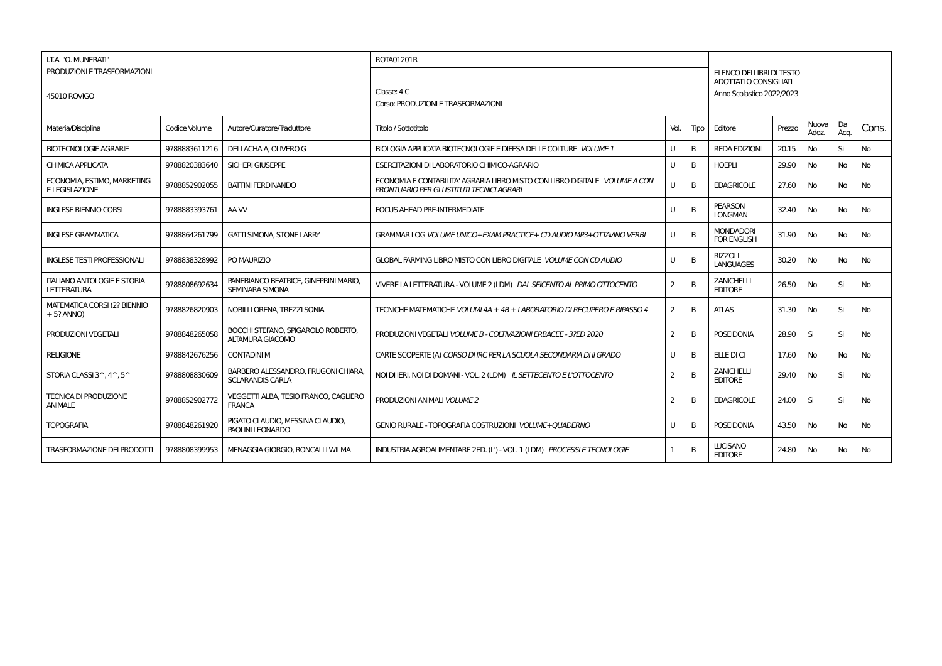| I.T.A. "O. MUNERATI"                                     |               |                                                                 | ROTA01201R                                                                                                                |                |                |                                                     |        |                |            |           |
|----------------------------------------------------------|---------------|-----------------------------------------------------------------|---------------------------------------------------------------------------------------------------------------------------|----------------|----------------|-----------------------------------------------------|--------|----------------|------------|-----------|
| PRODUZIONI E TRASFORMAZIONI                              |               |                                                                 |                                                                                                                           |                |                | ELENCO DEI LIBRI DI TESTO<br>ADOTTATI O CONSIGLIATI |        |                |            |           |
| 45010 ROVIGO                                             |               |                                                                 | Classe: 4 C                                                                                                               |                |                | Anno Scolastico 2022/2023                           |        |                |            |           |
|                                                          |               |                                                                 | Corso: PRODUZIONI E TRASFORMAZIONI                                                                                        |                |                |                                                     |        |                |            |           |
| Materia/Disciplina                                       | Codice Volume | Autore/Curatore/Traduttore                                      | Titolo / Sottotitolo                                                                                                      | Vol.           | Tipo           | Editore                                             | Prezzo | Nuova<br>Adoz. | Da<br>Acq. | Cons.     |
| <b>BIOTECNOLOGIE AGRARIE</b>                             | 9788883611216 | DELLACHA A. OLIVERO G                                           | BIOLOGIA APPLICATA BIOTECNOLOGIE E DIFESA DELLE COLTURE VOLUME 1                                                          | U              | B              | <b>REDA EDIZIONI</b>                                | 20.15  | No             | Si         | <b>No</b> |
| CHIMICA APPLICATA                                        | 9788820383640 | <b>SICHERI GIUSEPPE</b>                                         | ESERCITAZIONI DI LABORATORIO CHIMICO-AGRARIO                                                                              | $\cup$         | B              | <b>HOEPLI</b>                                       | 29.90  | No             | <b>No</b>  | <b>No</b> |
| ECONOMIA, ESTIMO, MARKETING<br>E LEGISLAZIONE            | 9788852902055 | <b>BATTINI FERDINANDO</b>                                       | ECONOMIA E CONTABILITA' AGRARIA LIBRO MISTO CON LIBRO DIGITALE VOLUME A CON<br>PRONTUARIO PER GLI ISTITUTI TECNICI AGRARI | $\mathbf{U}$   | B <sub>1</sub> | <b>EDAGRICOLE</b>                                   | 27.60  | No             | <b>No</b>  | No        |
| <b>INGLESE BIENNIO CORSI</b>                             | 9788883393761 | AA W                                                            | <b>FOCUS AHEAD PRE-INTERMEDIATE</b>                                                                                       | U              | B              | <b>PEARSON</b><br><b>LONGMAN</b>                    | 32.40  | No             | <b>No</b>  | <b>No</b> |
| <b>INGLESE GRAMMATICA</b>                                | 9788864261799 | <b>GATTI SIMONA, STONE LARRY</b>                                | GRAMMAR LOG VOLUME UNICO+EXAM PRACTICE+ CD AUDIO MP3+OTTAVINO VERBI                                                       | U              | B              | <b>MONDADORI</b><br><b>FOR ENGLISH</b>              | 31.90  | No             | No         | No        |
| <b>INGLESE TESTI PROFESSIONALI</b>                       | 9788838328992 | PO MAURIZIO                                                     | GLOBAL FARMING LIBRO MISTO CON LIBRO DIGITALE VOLUME CON CD AUDIO                                                         | $\cup$         | B              | <b>RIZZOLI</b><br><b>LANGUAGES</b>                  | 30.20  | No             | No         | No        |
| <b>ITALIANO ANTOLOGIE E STORIA</b><br><b>LETTERATURA</b> | 9788808692634 | PANEBIANCO BEATRICE, GINEPRINI MARIO.<br><b>SEMINARA SIMONA</b> | VIVERE LA LETTERATURA - VOLUME 2 (LDM) DAL SEICENTO AL PRIMO OTTOCENTO                                                    | $\overline{2}$ | B              | <b>ZANICHELLI</b><br><b>EDITORE</b>                 | 26.50  | No             | Si         | <b>No</b> |
| <b>MATEMATICA CORSI (2? BIENNIO</b><br>$+5?$ ANNO)       | 9788826820903 | NOBILI LORENA, TREZZI SONIA                                     | TECNICHE MATEMATICHE VOLUMI 4A + 4B + LABORATORIO DI RECUPERO E RIPASSO 4                                                 | $\overline{2}$ | B              | <b>ATLAS</b>                                        | 31.30  | No             | Si         | <b>No</b> |
| PRODUZIONI VEGETALI                                      | 9788848265058 | BOCCHI STEFANO, SPIGAROLO ROBERTO,<br>ALTAMURA GIACOMO          | PRODUZIONI VEGETALI VOLUME B - COLTIVAZIONI ERBACEE - 3?ED 2020                                                           | 2              | <sub>B</sub>   | <b>POSEIDONIA</b>                                   | 28.90  | Si             | Si         | No        |
| <b>RELIGIONE</b>                                         | 9788842676256 | <b>CONTADINI M</b>                                              | CARTE SCOPERTE (A) CORSO DI IRC PER LA SCUOLA SECONDARIA DI II GRADO                                                      | U              | B <sub>1</sub> | ELLE DI CI                                          | 17.60  | No             | <b>No</b>  | <b>No</b> |
| STORIA CLASSI 3^, 4^, 5^                                 | 9788808830609 | BARBERO ALESSANDRO, FRUGONI CHIARA.<br><b>SCLARANDIS CARLA</b>  | NOI DI IERI. NOI DI DOMANI - VOL. 2 (LDM) IL SETTECENTO E L'OTTOCENTO                                                     | 2              | B              | <b>ZANICHELLI</b><br><b>EDITORE</b>                 | 29.40  | No             | Si         | <b>No</b> |
| <b>TECNICA DI PRODUZIONE</b><br><b>ANIMALE</b>           | 9788852902772 | VEGGETTI ALBA, TESIO FRANCO, CAGLIERO<br><b>FRANCA</b>          | PRODUZIONI ANIMALI VOLUME 2                                                                                               | $\overline{2}$ | <sub>B</sub>   | <b>EDAGRICOLE</b>                                   | 24.00  | Si             | Si         | <b>No</b> |
| <b>TOPOGRAFIA</b>                                        | 9788848261920 | PIGATO CLAUDIO, MESSINA CLAUDIO,<br>PAOLINI LEONARDO            | GENIO RURALE - TOPOGRAFIA COSTRUZIONI VOLUME+QUADERNO                                                                     | U              | B              | <b>POSEIDONIA</b>                                   | 43.50  | No             | <b>No</b>  | No        |
| <b>TRASFORMAZIONE DEI PRODOTTI</b>                       | 9788808399953 | MENAGGIA GIORGIO, RONCALLI WILMA                                | INDUSTRIA AGROALIMENTARE 2ED. (L') - VOL. 1 (LDM) PROCESSI E TECNOLOGIE                                                   | 1              | B              | <b>LUCISANO</b><br><b>EDITORE</b>                   | 24.80  | No.            | No         | <b>No</b> |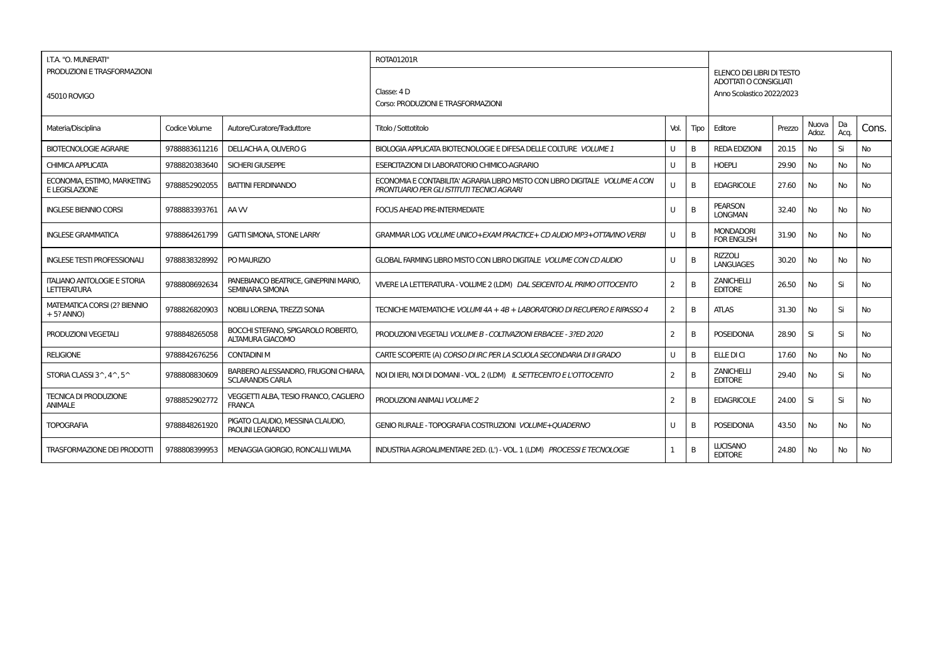| I.T.A. "O. MUNERATI"                                     |               |                                                                 | ROTA01201R                                                                                                                |                |                |                                                     |        |                |            |           |
|----------------------------------------------------------|---------------|-----------------------------------------------------------------|---------------------------------------------------------------------------------------------------------------------------|----------------|----------------|-----------------------------------------------------|--------|----------------|------------|-----------|
| PRODUZIONI E TRASFORMAZIONI                              |               |                                                                 |                                                                                                                           |                |                | ELENCO DEI LIBRI DI TESTO<br>ADOTTATI O CONSIGLIATI |        |                |            |           |
| 45010 ROVIGO                                             |               |                                                                 | Classe: 4 D                                                                                                               |                |                | Anno Scolastico 2022/2023                           |        |                |            |           |
|                                                          |               |                                                                 | Corso: PRODUZIONI E TRASFORMAZIONI                                                                                        |                |                |                                                     |        |                |            |           |
| Materia/Disciplina                                       | Codice Volume | Autore/Curatore/Traduttore                                      | Titolo / Sottotitolo                                                                                                      | Vol.           | Tipo           | Editore                                             | Prezzo | Nuova<br>Adoz. | Da<br>Acq. | Cons.     |
| <b>BIOTECNOLOGIE AGRARIE</b>                             | 9788883611216 | DELLACHA A. OLIVERO G                                           | BIOLOGIA APPLICATA BIOTECNOLOGIE E DIFESA DELLE COLTURE VOLUME 1                                                          | U              | B              | <b>REDA EDIZIONI</b>                                | 20.15  | No             | Si         | <b>No</b> |
| CHIMICA APPLICATA                                        | 9788820383640 | <b>SICHERI GIUSEPPE</b>                                         | ESERCITAZIONI DI LABORATORIO CHIMICO-AGRARIO                                                                              | $\cup$         | B              | <b>HOEPLI</b>                                       | 29.90  | No             | <b>No</b>  | <b>No</b> |
| ECONOMIA, ESTIMO, MARKETING<br>E LEGISLAZIONE            | 9788852902055 | <b>BATTINI FERDINANDO</b>                                       | ECONOMIA E CONTABILITA' AGRARIA LIBRO MISTO CON LIBRO DIGITALE VOLUME A CON<br>PRONTUARIO PER GLI ISTITUTI TECNICI AGRARI | $\mathbf{U}$   | B <sub>1</sub> | <b>EDAGRICOLE</b>                                   | 27.60  | No             | <b>No</b>  | No        |
| <b>INGLESE BIENNIO CORSI</b>                             | 9788883393761 | AA W                                                            | <b>FOCUS AHEAD PRE-INTERMEDIATE</b>                                                                                       | U              | B              | <b>PEARSON</b><br><b>LONGMAN</b>                    | 32.40  | No             | <b>No</b>  | <b>No</b> |
| <b>INGLESE GRAMMATICA</b>                                | 9788864261799 | <b>GATTI SIMONA, STONE LARRY</b>                                | GRAMMAR LOG VOLUME UNICO+EXAM PRACTICE+ CD AUDIO MP3+OTTAVINO VERBI                                                       | U              | B              | <b>MONDADORI</b><br><b>FOR ENGLISH</b>              | 31.90  | No             | No         | No        |
| <b>INGLESE TESTI PROFESSIONALI</b>                       | 9788838328992 | PO MAURIZIO                                                     | GLOBAL FARMING LIBRO MISTO CON LIBRO DIGITALE VOLUME CON CD AUDIO                                                         | $\cup$         | B              | <b>RIZZOLI</b><br><b>LANGUAGES</b>                  | 30.20  | No             | No         | No        |
| <b>ITALIANO ANTOLOGIE E STORIA</b><br><b>LETTERATURA</b> | 9788808692634 | PANEBIANCO BEATRICE, GINEPRINI MARIO.<br><b>SEMINARA SIMONA</b> | VIVERE LA LETTERATURA - VOLUME 2 (LDM) DAL SEICENTO AL PRIMO OTTOCENTO                                                    | $\overline{2}$ | B              | <b>ZANICHELLI</b><br><b>EDITORE</b>                 | 26.50  | No             | Si         | <b>No</b> |
| <b>MATEMATICA CORSI (2? BIENNIO</b><br>$+5?$ ANNO)       | 9788826820903 | NOBILI LORENA, TREZZI SONIA                                     | TECNICHE MATEMATICHE VOLUMI 4A + 4B + LABORATORIO DI RECUPERO E RIPASSO 4                                                 | $\overline{2}$ | B              | <b>ATLAS</b>                                        | 31.30  | No             | Si         | <b>No</b> |
| PRODUZIONI VEGETALI                                      | 9788848265058 | BOCCHI STEFANO, SPIGAROLO ROBERTO,<br>ALTAMURA GIACOMO          | PRODUZIONI VEGETALI VOLUME B - COLTIVAZIONI ERBACEE - 3?ED 2020                                                           | 2              | <sub>B</sub>   | <b>POSEIDONIA</b>                                   | 28.90  | Si             | Si         | No        |
| <b>RELIGIONE</b>                                         | 9788842676256 | <b>CONTADINI M</b>                                              | CARTE SCOPERTE (A) CORSO DI IRC PER LA SCUOLA SECONDARIA DI II GRADO                                                      | U              | B <sub>1</sub> | ELLE DI CI                                          | 17.60  | No             | <b>No</b>  | <b>No</b> |
| STORIA CLASSI 3^, 4^, 5^                                 | 9788808830609 | BARBERO ALESSANDRO, FRUGONI CHIARA.<br><b>SCLARANDIS CARLA</b>  | NOI DI IERI. NOI DI DOMANI - VOL. 2 (LDM) IL SETTECENTO E L'OTTOCENTO                                                     | 2              | B              | <b>ZANICHELLI</b><br><b>EDITORE</b>                 | 29.40  | No             | Si         | <b>No</b> |
| <b>TECNICA DI PRODUZIONE</b><br><b>ANIMALE</b>           | 9788852902772 | VEGGETTI ALBA, TESIO FRANCO, CAGLIERO<br><b>FRANCA</b>          | PRODUZIONI ANIMALI VOLUME 2                                                                                               | $\overline{2}$ | <sub>B</sub>   | <b>EDAGRICOLE</b>                                   | 24.00  | Si             | Si         | <b>No</b> |
| <b>TOPOGRAFIA</b>                                        | 9788848261920 | PIGATO CLAUDIO, MESSINA CLAUDIO,<br>PAOLINI LEONARDO            | GENIO RURALE - TOPOGRAFIA COSTRUZIONI VOLUME+QUADERNO                                                                     | U              | B              | <b>POSEIDONIA</b>                                   | 43.50  | No             | <b>No</b>  | No        |
| <b>TRASFORMAZIONE DEI PRODOTTI</b>                       | 9788808399953 | MENAGGIA GIORGIO, RONCALLI WILMA                                | INDUSTRIA AGROALIMENTARE 2ED. (L') - VOL. 1 (LDM) PROCESSI E TECNOLOGIE                                                   | 1              | B              | <b>LUCISANO</b><br><b>EDITORE</b>                   | 24.80  | No.            | No         | <b>No</b> |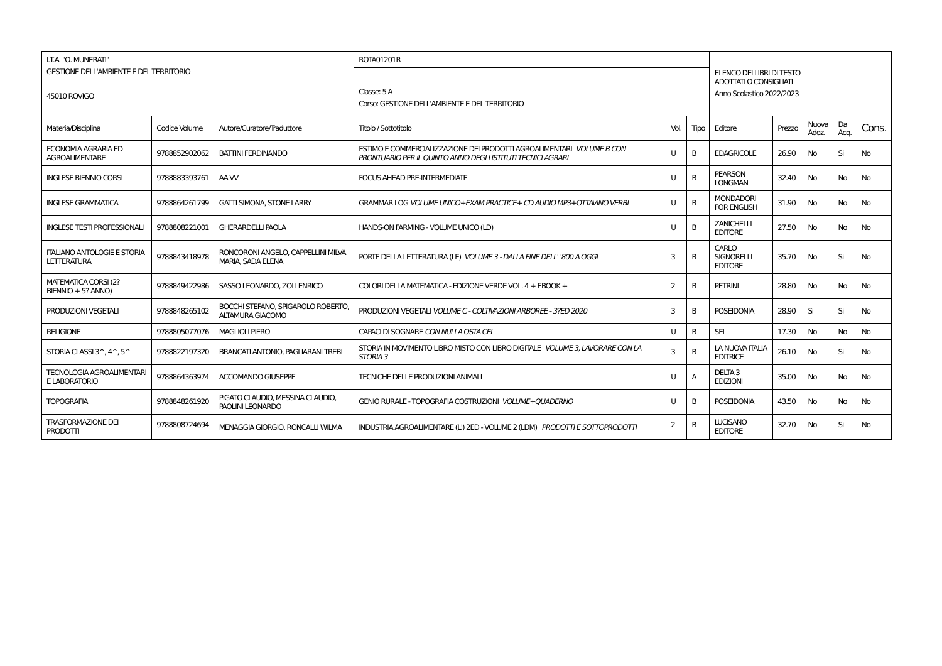| I.T.A. "O. MUNERATI"                                           |               |                                                              | <b>ROTA01201R</b>                                                                                                                    |      |      |                                                                                  |        |                |            |           |  |  |  |
|----------------------------------------------------------------|---------------|--------------------------------------------------------------|--------------------------------------------------------------------------------------------------------------------------------------|------|------|----------------------------------------------------------------------------------|--------|----------------|------------|-----------|--|--|--|
| <b>GESTIONE DELL'AMBIENTE E DEL TERRITORIO</b><br>45010 ROVIGO |               |                                                              | Classe: $5A$<br>Corso: GESTIONE DELL'AMBIENTE E DEL TERRITORIO                                                                       |      |      | ELENCO DEI LIBRI DI TESTO<br>ADOTTATI O CONSIGLIATI<br>Anno Scolastico 2022/2023 |        |                |            |           |  |  |  |
| Materia/Disciplina                                             | Codice Volume | Autore/Curatore/Traduttore                                   | Titolo / Sottotitolo                                                                                                                 | Vol. | Tipo | Editore                                                                          | Prezzo | Nuova<br>Adoz. | Da<br>Acq. | Cons.     |  |  |  |
| ECONOMIA AGRARIA ED<br><b>AGROALIMENTARE</b>                   | 9788852902062 | <b>BATTINI FERDINANDO</b>                                    | ESTIMO E COMMERCIALIZZAZIONE DEI PRODOTTI AGROALIMENTARI VOLUME B CON<br>PRONTUARIO PER IL OUINTO ANNO DEGLI ISTITUTI TECNICI AGRARI | U    | B    | <b>EDAGRICOLE</b>                                                                | 26.90  | No             | Si         | <b>No</b> |  |  |  |
| <b>INGLESE BIENNIO CORSI</b>                                   | 9788883393761 | AA W                                                         | <b>FOCUS AHEAD PRE-INTERMEDIATE</b>                                                                                                  | U    | B    | <b>PEARSON</b><br><b>LONGMAN</b>                                                 | 32.40  | No.            | <b>No</b>  | <b>No</b> |  |  |  |
| <b>INGLESE GRAMMATICA</b>                                      | 9788864261799 | <b>GATTI SIMONA, STONE LARRY</b>                             | GRAMMAR LOG VOLUME UNICO+EXAM PRACTICE+ CD AUDIO MP3+OTTAVINO VERBI                                                                  | U    | B    | <b>MONDADORI</b><br><b>FOR ENGLISH</b>                                           | 31.90  | No             | No         | <b>No</b> |  |  |  |
| <b>INGLESE TESTI PROFESSIONALI</b>                             | 9788808221001 | <b>GHERARDELLI PAOLA</b>                                     | HANDS-ON FARMING - VOLUME UNICO (LD)                                                                                                 | U    | B    | <b>ZANICHELLI</b><br><b>EDITORE</b>                                              | 27.50  | No             | <b>No</b>  | <b>No</b> |  |  |  |
| <b>ITALIANO ANTOLOGIE E STORIA</b><br><b>LETTERATURA</b>       | 9788843418978 | RONCORONI ANGELO, CAPPELLINI MILVA<br>MARIA, SADA ELENA      | PORTE DELLA LETTERATURA (LE) VOLUME 3 - DALLA FINE DELL''800 A OGGI                                                                  | 3    | B    | CARLO<br><b>SIGNORELLI</b><br><b>EDITORE</b>                                     | 35.70  | <b>No</b>      | Si         | <b>No</b> |  |  |  |
| <b>MATEMATICA CORSI (2?</b><br>$BIENTIO + 5? ANNO)$            | 9788849422986 | SASSO LEONARDO, ZOLI ENRICO                                  | COLORI DELLA MATEMATICA - EDIZIONE VERDE VOL. 4 + EBOOK +                                                                            | 2    | B    | <b>PETRINI</b>                                                                   | 28.80  | <b>No</b>      | <b>No</b>  | <b>No</b> |  |  |  |
| <b>PRODUZIONI VEGETALI</b>                                     | 9788848265102 | BOCCHI STEFANO, SPIGAROLO ROBERTO<br><b>ALTAMURA GIACOMO</b> | PRODUZIONI VEGETALI VOLUME C - COLTIVAZIONI ARBOREE - 3?ED 2020                                                                      | 3    | B    | <b>POSEIDONIA</b>                                                                | 28.90  | Si             | Si         | <b>No</b> |  |  |  |
| <b>RELIGIONE</b>                                               | 9788805077076 | <b>MAGLIOLI PIERO</b>                                        | CAPACI DI SOGNARE CON NULLA OSTA CEI                                                                                                 | U    | B    | <b>SEI</b>                                                                       | 17.30  | <b>No</b>      | <b>No</b>  | <b>No</b> |  |  |  |
| STORIA CLASSI 3^, 4^, 5^                                       | 9788822197320 | BRANCATI ANTONIO, PAGLIARANI TREBI                           | STORIA IN MOVIMENTO LIBRO MISTO CON LIBRO DIGITALE VOLUME 3, LAVORARE CON LA<br>STORIA <sub>3</sub>                                  | 3    | B    | LA NUOVA ITALIA<br><b>EDITRICE</b>                                               | 26.10  | <b>No</b>      | Si         | <b>No</b> |  |  |  |
| <b>TECNOLOGIA AGROALIMENTARI</b><br>E LABORATORIO              | 9788864363974 | <b>ACCOMANDO GIUSEPPE</b>                                    | TECNICHE DELLE PRODUZIONI ANIMALI                                                                                                    | U    | A    | DELTA <sub>3</sub><br><b>EDIZIONI</b>                                            | 35.00  | No             | <b>No</b>  | <b>No</b> |  |  |  |
| <b>TOPOGRAFIA</b>                                              | 9788848261920 | PIGATO CLAUDIO. MESSINA CLAUDIO.<br>PAOLINI LEONARDO         | GENIO RURALE - TOPOGRAFIA COSTRUZIONI VOLUME+OUADERNO                                                                                | U    | B    | <b>POSEIDONIA</b>                                                                | 43.50  | No             | No         | <b>No</b> |  |  |  |
| <b>TRASFORMAZIONE DEI</b><br>PRODOTTI                          | 9788808724694 | MENAGGIA GIORGIO, RONCALLI WILMA                             | INDUSTRIA AGROALIMENTARE (L') 2ED - VOLUME 2 (LDM) PRODOTTI E SOTTOPRODOTTI                                                          | 2    | B    | <b>LUCISANO</b><br><b>EDITORE</b>                                                | 32.70  | No             | Si         | No        |  |  |  |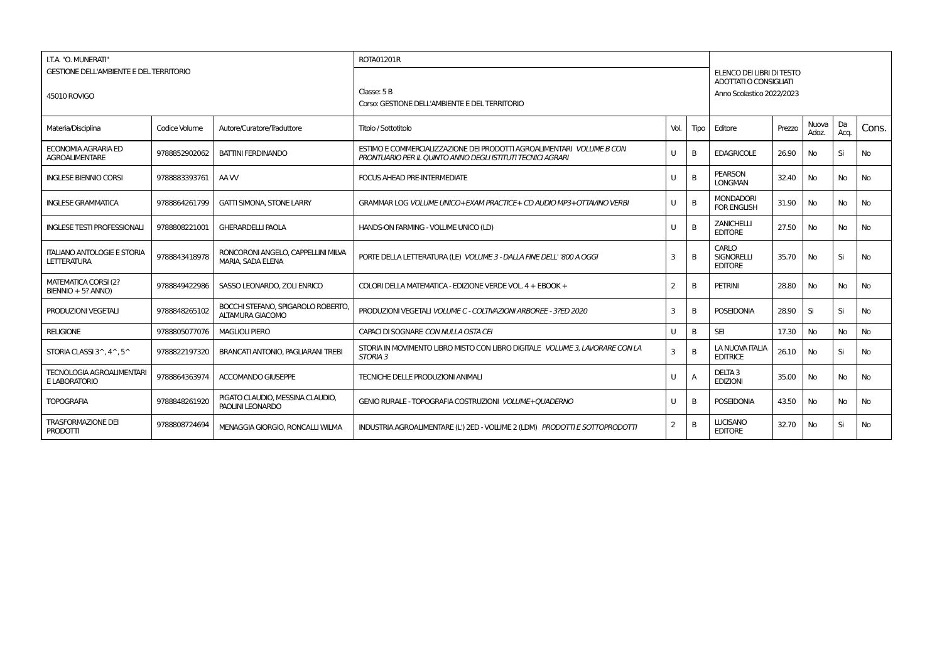| I.T.A. "O. MUNERATI"                                           |               |                                                              | <b>ROTA01201R</b>                                                                                                                    |                         |      |                                                                                  |        |                |            |           |  |  |  |
|----------------------------------------------------------------|---------------|--------------------------------------------------------------|--------------------------------------------------------------------------------------------------------------------------------------|-------------------------|------|----------------------------------------------------------------------------------|--------|----------------|------------|-----------|--|--|--|
| <b>GESTIONE DELL'AMBIENTE E DEL TERRITORIO</b><br>45010 ROVIGO |               |                                                              | Classe: 5B<br>Corso: GESTIONE DELL'AMBIENTE E DEL TERRITORIO                                                                         |                         |      | ELENCO DEI LIBRI DI TESTO<br>ADOTTATI O CONSIGLIATI<br>Anno Scolastico 2022/2023 |        |                |            |           |  |  |  |
| Materia/Disciplina                                             | Codice Volume | Autore/Curatore/Traduttore                                   | Titolo / Sottotitolo                                                                                                                 | Vol.                    | Tipo | Editore                                                                          | Prezzo | Nuova<br>Adoz. | Da<br>Acq. | Cons.     |  |  |  |
| ECONOMIA AGRARIA ED<br><b>AGROALIMENTARE</b>                   | 9788852902062 | <b>BATTINI FERDINANDO</b>                                    | ESTIMO E COMMERCIALIZZAZIONE DEI PRODOTTI AGROALIMENTARI VOLUME B CON<br>PRONTUARIO PER IL OUINTO ANNO DEGLI ISTITUTI TECNICI AGRARI | U                       | B    | <b>EDAGRICOLE</b>                                                                | 26.90  | No             | Si         | <b>No</b> |  |  |  |
| <b>INGLESE BIENNIO CORSI</b>                                   | 9788883393761 | AA W                                                         | <b>FOCUS AHEAD PRE-INTERMEDIATE</b>                                                                                                  | U                       | B    | <b>PEARSON</b><br><b>LONGMAN</b>                                                 | 32.40  | No.            | <b>No</b>  | <b>No</b> |  |  |  |
| <b>INGLESE GRAMMATICA</b>                                      | 9788864261799 | <b>GATTI SIMONA, STONE LARRY</b>                             | GRAMMAR LOG VOLUME UNICO+EXAM PRACTICE+ CD AUDIO MP3+OTTAVINO VERBI                                                                  | U                       | B    | <b>MONDADORI</b><br><b>FOR ENGLISH</b>                                           | 31.90  | No             | No         | <b>No</b> |  |  |  |
| <b>INGLESE TESTI PROFESSIONALI</b>                             | 9788808221001 | <b>GHERARDELLI PAOLA</b>                                     | HANDS-ON FARMING - VOLUME UNICO (LD)                                                                                                 | U                       | B    | <b>ZANICHELLI</b><br><b>EDITORE</b>                                              | 27.50  | No             | <b>No</b>  | <b>No</b> |  |  |  |
| <b>ITALIANO ANTOLOGIE E STORIA</b><br><b>LETTERATURA</b>       | 9788843418978 | RONCORONI ANGELO, CAPPELLINI MILVA<br>MARIA, SADA ELENA      | PORTE DELLA LETTERATURA (LE) VOLUME 3 - DALLA FINE DELL''800 A OGGI                                                                  | 3                       | B    | CARLO<br><b>SIGNORELLI</b><br><b>EDITORE</b>                                     | 35.70  | <b>No</b>      | Si         | <b>No</b> |  |  |  |
| <b>MATEMATICA CORSI (2?</b><br>$BIENTIO + 5? ANNO)$            | 9788849422986 | SASSO LEONARDO, ZOLI ENRICO                                  | COLORI DELLA MATEMATICA - EDIZIONE VERDE VOL. 4 + EBOOK +                                                                            | 2                       | B    | <b>PETRINI</b>                                                                   | 28.80  | <b>No</b>      | <b>No</b>  | <b>No</b> |  |  |  |
| <b>PRODUZIONI VEGETALI</b>                                     | 9788848265102 | BOCCHI STEFANO, SPIGAROLO ROBERTO<br><b>ALTAMURA GIACOMO</b> | PRODUZIONI VEGETALI VOLUME C - COLTIVAZIONI ARBOREE - 3?ED 2020                                                                      | $\overline{\mathbf{3}}$ | B    | <b>POSEIDONIA</b>                                                                | 28.90  | Si             | Si         | <b>No</b> |  |  |  |
| <b>RELIGIONE</b>                                               | 9788805077076 | <b>MAGLIOLI PIERO</b>                                        | CAPACI DI SOGNARE CON NULLA OSTA CEI                                                                                                 | U                       | B    | <b>SEI</b>                                                                       | 17.30  | <b>No</b>      | <b>No</b>  | <b>No</b> |  |  |  |
| STORIA CLASSI 3^, 4^, 5^                                       | 9788822197320 | BRANCATI ANTONIO, PAGLIARANI TREBI                           | STORIA IN MOVIMENTO LIBRO MISTO CON LIBRO DIGITALE VOLUME 3, LAVORARE CON LA<br>STORIA <sub>3</sub>                                  | 3                       | B    | LA NUOVA ITALIA<br><b>EDITRICE</b>                                               | 26.10  | <b>No</b>      | Si         | <b>No</b> |  |  |  |
| <b>TECNOLOGIA AGROALIMENTARI</b><br>E LABORATORIO              | 9788864363974 | <b>ACCOMANDO GIUSEPPE</b>                                    | TECNICHE DELLE PRODUZIONI ANIMALI                                                                                                    | U                       | A    | DELTA <sub>3</sub><br><b>EDIZIONI</b>                                            | 35.00  | <b>No</b>      | <b>No</b>  | <b>No</b> |  |  |  |
| <b>TOPOGRAFIA</b>                                              | 9788848261920 | PIGATO CLAUDIO. MESSINA CLAUDIO.<br>PAOLINI LEONARDO         | GENIO RURALE - TOPOGRAFIA COSTRUZIONI VOLUME+OUADERNO                                                                                | U                       | B    | <b>POSEIDONIA</b>                                                                | 43.50  | <b>No</b>      | No         | <b>No</b> |  |  |  |
| <b>TRASFORMAZIONE DEI</b><br>PRODOTTI                          | 9788808724694 | MENAGGIA GIORGIO, RONCALLI WILMA                             | INDUSTRIA AGROALIMENTARE (L') 2ED - VOLUME 2 (LDM) PRODOTTI E SOTTOPRODOTTI                                                          | 2                       | B    | <b>LUCISANO</b><br><b>EDITORE</b>                                                | 32.70  | No             | Si         | No        |  |  |  |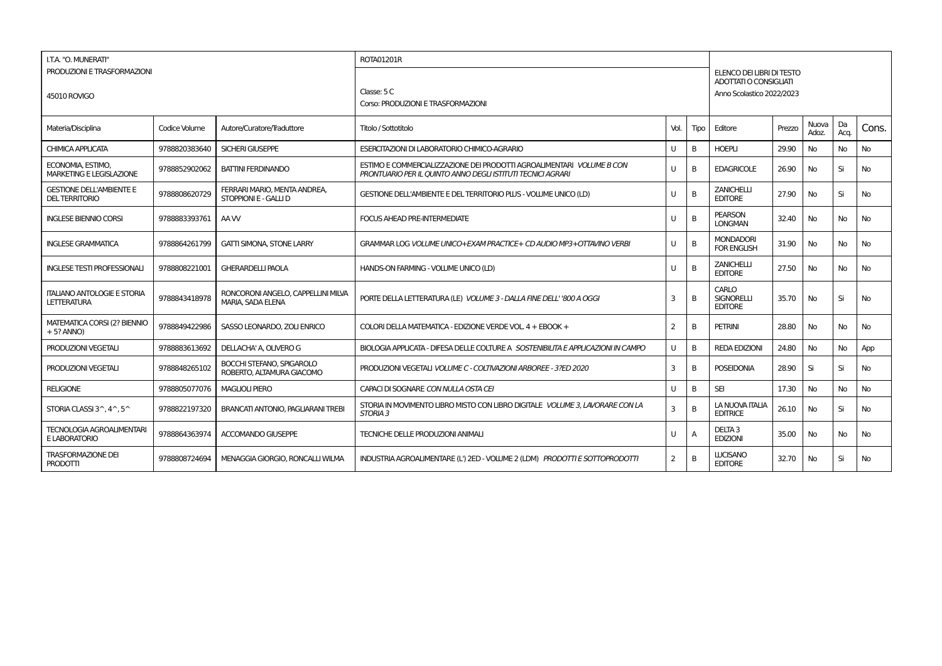| I.T.A. "O. MUNERATI"                                     |               |                                                         | ROTA01201R                                                                                                                           |                         |      |                                              |                                                     |                |            |           |  |  |  |
|----------------------------------------------------------|---------------|---------------------------------------------------------|--------------------------------------------------------------------------------------------------------------------------------------|-------------------------|------|----------------------------------------------|-----------------------------------------------------|----------------|------------|-----------|--|--|--|
| PRODUZIONI E TRASFORMAZIONI                              |               |                                                         |                                                                                                                                      |                         |      |                                              | ELENCO DEI LIBRI DI TESTO<br>ADOTTATI O CONSIGLIATI |                |            |           |  |  |  |
| 45010 ROVIGO                                             |               |                                                         | Classe: 5 C<br>Corso: PRODUZIONI E TRASFORMAZIONI                                                                                    |                         |      |                                              | Anno Scolastico 2022/2023                           |                |            |           |  |  |  |
|                                                          |               |                                                         |                                                                                                                                      |                         |      |                                              |                                                     |                |            |           |  |  |  |
| Materia/Disciplina                                       | Codice Volume | Autore/Curatore/Traduttore                              | Titolo / Sottotitolo                                                                                                                 | Vol.                    | Tipo | Editore                                      | Prezzo                                              | Nuova<br>Adoz. | Da<br>Acq. | Cons.     |  |  |  |
| <b>CHIMICA APPLICATA</b>                                 | 9788820383640 | SICHERI GIUSEPPE                                        | <b>ESERCITAZIONI DI LABORATORIO CHIMICO-AGRARIO</b>                                                                                  | U                       | B    | <b>HOEPLI</b>                                | 29.90                                               | No             | No         | <b>No</b> |  |  |  |
| ECONOMIA, ESTIMO.<br><b>MARKETING E LEGISLAZIONE</b>     | 9788852902062 | <b>BATTINI FERDINANDO</b>                               | ESTIMO E COMMERCIALIZZAZIONE DEI PRODOTTI AGROALIMENTARI VOLUME B CON<br>PRONTUARIO PER IL QUINTO ANNO DEGLI ISTITUTI TECNICI AGRARI | U                       | B    | <b>EDAGRICOLE</b>                            | 26.90                                               | No             | Si         | <b>No</b> |  |  |  |
| <b>GESTIONE DELL'AMBIENTE E</b><br><b>DEL TERRITORIO</b> | 9788808620729 | FERRARI MARIO, MENTA ANDREA,<br>STOPPIONI E - GALLI D   | GESTIONE DELL'AMBIENTE E DEL TERRITORIO PILUS - VOLUME UNICO (LD)                                                                    | $\cup$                  | B    | <b>ZANICHELLI</b><br><b>EDITORE</b>          | 27.90                                               | No             | Si         | No        |  |  |  |
| <b>INGLESE BIENNIO CORSI</b>                             | 9788883393761 | AA W                                                    | <b>FOCUS AHEAD PRE-INTERMEDIATE</b>                                                                                                  | U                       | B    | <b>PEARSON</b><br><b>LONGMAN</b>             | 32.40                                               | No             | No         | <b>No</b> |  |  |  |
| <b>INGLESE GRAMMATICA</b>                                | 9788864261799 | <b>GATTI SIMONA, STONE LARRY</b>                        | GRAMMAR LOG VOLUME UNICO+EXAM PRACTICE+ CD AUDIO MP3+OTTAVINO VERBI                                                                  | U                       | B    | <b>MONDADORI</b><br><b>FOR ENGLISH</b>       | 31.90                                               | No             | No         | <b>No</b> |  |  |  |
| <b>INGLESE TESTI PROFESSIONALI</b>                       | 9788808221001 | <b>GHERARDELLI PAOLA</b>                                | HANDS-ON FARMING - VOLUME UNICO (LD)                                                                                                 | $\cup$                  | B    | <b>ZANICHELLI</b><br><b>EDITORE</b>          | 27.50                                               | No             | <b>No</b>  | <b>No</b> |  |  |  |
| <b>ITALIANO ANTOLOGIE E STORIA</b><br><b>LETTERATURA</b> | 9788843418978 | RONCORONI ANGELO, CAPPELLINI MILVA<br>MARIA, SADA ELENA | PORTE DELLA LETTERATURA (LE) VOLUME 3 - DALLA FINE DELL' '800 A OGGI                                                                 | 3                       | B    | CARLO<br><b>SIGNORELLI</b><br><b>EDITORE</b> | 35.70                                               | No             | Si         | <b>No</b> |  |  |  |
| <b>MATEMATICA CORSI (2? BIENNIO</b><br>$+5$ ? ANNO)      | 9788849422986 | SASSO LEONARDO, ZOLI ENRICO                             | COLORI DELLA MATEMATICA - EDIZIONE VERDE VOL. 4 + EBOOK +                                                                            | $\overline{2}$          | B    | <b>PETRINI</b>                               | 28.80                                               | No             | <b>No</b>  | <b>No</b> |  |  |  |
| PRODUZIONI VEGETALI                                      | 9788883613692 | DELLACHA' A, OLIVERO G                                  | BIOLOGIA APPLICATA - DIFESA DELLE COLTURE A SOSTENIBILITA E APPLICAZIONI IN CAMPO                                                    | U                       | B    | <b>REDA EDIZIONI</b>                         | 24.80                                               | No             | No         | App       |  |  |  |
| PRODUZIONI VEGETALI                                      | 9788848265102 | BOCCHI STEFANO, SPIGAROLO<br>ROBERTO. ALTAMURA GIACOMO  | PRODUZIONI VEGETALI VOLUME C - COLTIVAZIONI ARBOREE - 3?ED 2020                                                                      | 3                       | B    | <b>POSEIDONIA</b>                            | 28.90                                               | Si             | Si         | No        |  |  |  |
| <b>RELIGIONE</b>                                         | 9788805077076 | <b>MAGLIOLI PIERO</b>                                   | CAPACI DI SOGNARE CON NULLA OSTA CEI                                                                                                 | $\cup$                  | B    | <b>SEI</b>                                   | 17.30                                               | No             | <b>No</b>  | <b>No</b> |  |  |  |
| STORIA CLASSI 3^, 4^, 5^                                 | 9788822197320 | <b>BRANCATI ANTONIO, PAGLIARANI TREBI</b>               | STORIA IN MOVIMENTO LIBRO MISTO CON LIBRO DIGITALE VOLUME 3, LAVORARE CON LA<br>STORIA <sub>3</sub>                                  | $\overline{\mathbf{3}}$ | B    | LA NUOVA ITALIA<br><b>EDITRICE</b>           | 26.10                                               | No             | Si         | <b>No</b> |  |  |  |
| <b>TECNOLOGIA AGROALIMENTARI</b><br>E LABORATORIO        | 9788864363974 | <b>ACCOMANDO GIUSEPPE</b>                               | TECNICHE DELLE PRODUZIONI ANIMALI                                                                                                    | U                       | Δ    | DELTA <sub>3</sub><br><b>EDIZIONI</b>        | 35.00                                               | No             | <b>No</b>  | <b>No</b> |  |  |  |
| <b>TRASFORMAZIONE DEI</b><br>PRODOTTI                    | 9788808724694 | MENAGGIA GIORGIO, RONCALLI WILMA                        | INDUSTRIA AGROALIMENTARE (L') 2ED - VOLUME 2 (LDM) PRODOTTI E SOTTOPRODOTTI                                                          | 2                       | B    | <b>LUCISANO</b><br><b>EDITORE</b>            | 32.70                                               | No.            | Si         | No.       |  |  |  |